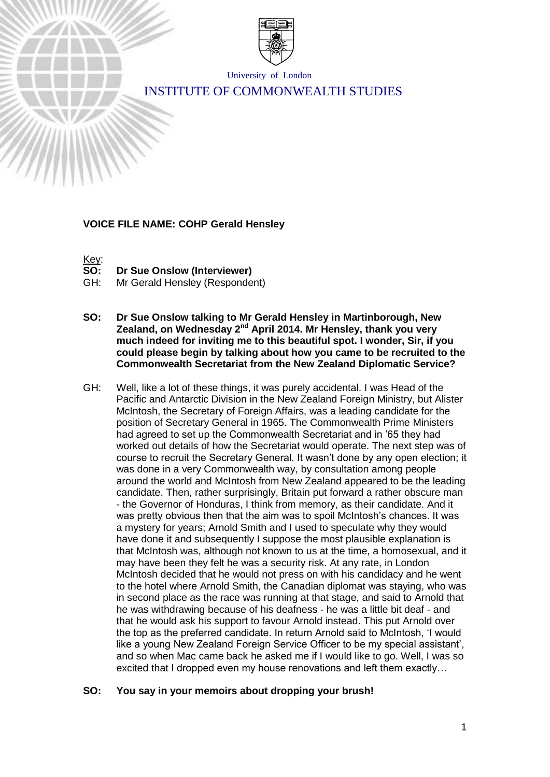

University of London

# INSTITUTE OF COMMONWEALTH STUDIES

#### **VOICE FILE NAME: COHP Gerald Hensley**



**Dr Sue Onslow (Interviewer)** 

GH: Mr Gerald Hensley (Respondent)

- **SO: Dr Sue Onslow talking to Mr Gerald Hensley in Martinborough, New Zealand, on Wednesday 2nd April 2014. Mr Hensley, thank you very much indeed for inviting me to this beautiful spot. I wonder, Sir, if you could please begin by talking about how you came to be recruited to the Commonwealth Secretariat from the New Zealand Diplomatic Service?**
- GH: Well, like a lot of these things, it was purely accidental. I was Head of the Pacific and Antarctic Division in the New Zealand Foreign Ministry, but Alister McIntosh, the Secretary of Foreign Affairs, was a leading candidate for the position of Secretary General in 1965. The Commonwealth Prime Ministers had agreed to set up the Commonwealth Secretariat and in '65 they had worked out details of how the Secretariat would operate. The next step was of course to recruit the Secretary General. It wasn't done by any open election; it was done in a very Commonwealth way, by consultation among people around the world and McIntosh from New Zealand appeared to be the leading candidate. Then, rather surprisingly, Britain put forward a rather obscure man - the Governor of Honduras, I think from memory, as their candidate. And it was pretty obvious then that the aim was to spoil McIntosh's chances. It was a mystery for years; Arnold Smith and I used to speculate why they would have done it and subsequently I suppose the most plausible explanation is that McIntosh was, although not known to us at the time, a homosexual, and it may have been they felt he was a security risk. At any rate, in London McIntosh decided that he would not press on with his candidacy and he went to the hotel where Arnold Smith, the Canadian diplomat was staying, who was in second place as the race was running at that stage, and said to Arnold that he was withdrawing because of his deafness - he was a little bit deaf - and that he would ask his support to favour Arnold instead. This put Arnold over the top as the preferred candidate. In return Arnold said to McIntosh, 'I would like a young New Zealand Foreign Service Officer to be my special assistant', and so when Mac came back he asked me if I would like to go. Well, I was so excited that I dropped even my house renovations and left them exactly…

# **SO: You say in your memoirs about dropping your brush!**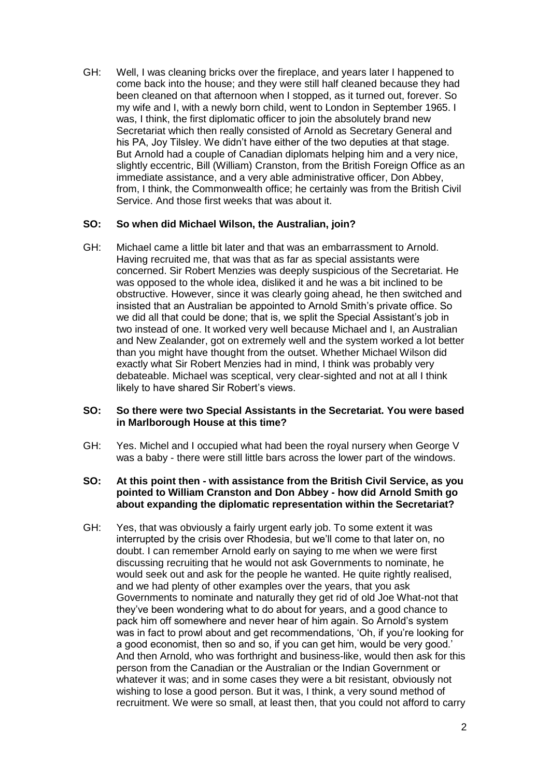GH: Well, I was cleaning bricks over the fireplace, and years later I happened to come back into the house; and they were still half cleaned because they had been cleaned on that afternoon when I stopped, as it turned out, forever. So my wife and I, with a newly born child, went to London in September 1965. I was, I think, the first diplomatic officer to join the absolutely brand new Secretariat which then really consisted of Arnold as Secretary General and his PA, Joy Tilsley. We didn't have either of the two deputies at that stage. But Arnold had a couple of Canadian diplomats helping him and a very nice, slightly eccentric, Bill (William) Cranston, from the British Foreign Office as an immediate assistance, and a very able administrative officer, Don Abbey, from, I think, the Commonwealth office; he certainly was from the British Civil Service. And those first weeks that was about it.

#### **SO: So when did Michael Wilson, the Australian, join?**

GH: Michael came a little bit later and that was an embarrassment to Arnold. Having recruited me, that was that as far as special assistants were concerned. Sir Robert Menzies was deeply suspicious of the Secretariat. He was opposed to the whole idea, disliked it and he was a bit inclined to be obstructive. However, since it was clearly going ahead, he then switched and insisted that an Australian be appointed to Arnold Smith's private office. So we did all that could be done; that is, we split the Special Assistant's job in two instead of one. It worked very well because Michael and I, an Australian and New Zealander, got on extremely well and the system worked a lot better than you might have thought from the outset. Whether Michael Wilson did exactly what Sir Robert Menzies had in mind, I think was probably very debateable. Michael was sceptical, very clear-sighted and not at all I think likely to have shared Sir Robert's views.

#### **SO: So there were two Special Assistants in the Secretariat. You were based in Marlborough House at this time?**

- GH: Yes. Michel and I occupied what had been the royal nursery when George V was a baby - there were still little bars across the lower part of the windows.
- **SO: At this point then - with assistance from the British Civil Service, as you pointed to William Cranston and Don Abbey - how did Arnold Smith go about expanding the diplomatic representation within the Secretariat?**
- GH: Yes, that was obviously a fairly urgent early job. To some extent it was interrupted by the crisis over Rhodesia, but we'll come to that later on, no doubt. I can remember Arnold early on saying to me when we were first discussing recruiting that he would not ask Governments to nominate, he would seek out and ask for the people he wanted. He quite rightly realised, and we had plenty of other examples over the years, that you ask Governments to nominate and naturally they get rid of old Joe What-not that they've been wondering what to do about for years, and a good chance to pack him off somewhere and never hear of him again. So Arnold's system was in fact to prowl about and get recommendations, 'Oh, if you're looking for a good economist, then so and so, if you can get him, would be very good.' And then Arnold, who was forthright and business-like, would then ask for this person from the Canadian or the Australian or the Indian Government or whatever it was; and in some cases they were a bit resistant, obviously not wishing to lose a good person. But it was, I think, a very sound method of recruitment. We were so small, at least then, that you could not afford to carry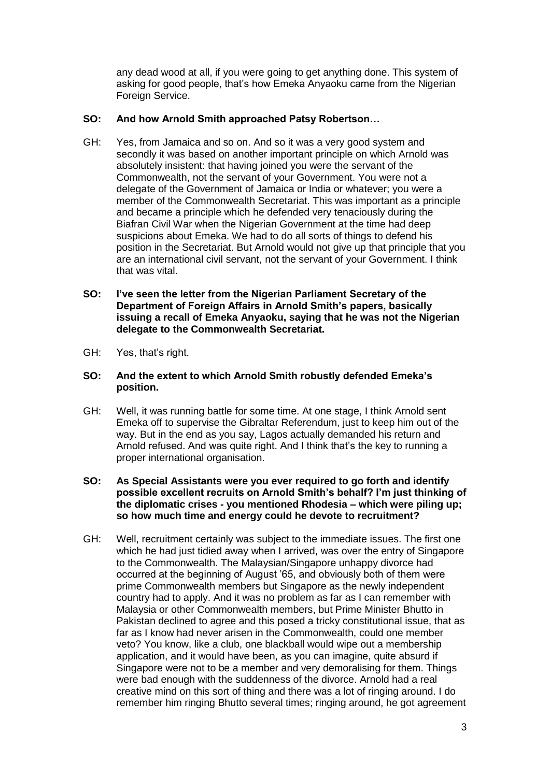any dead wood at all, if you were going to get anything done. This system of asking for good people, that's how Emeka Anyaoku came from the Nigerian Foreign Service.

# **SO: And how Arnold Smith approached Patsy Robertson…**

- GH: Yes, from Jamaica and so on. And so it was a very good system and secondly it was based on another important principle on which Arnold was absolutely insistent: that having joined you were the servant of the Commonwealth, not the servant of your Government. You were not a delegate of the Government of Jamaica or India or whatever; you were a member of the Commonwealth Secretariat. This was important as a principle and became a principle which he defended very tenaciously during the Biafran Civil War when the Nigerian Government at the time had deep suspicions about Emeka. We had to do all sorts of things to defend his position in the Secretariat. But Arnold would not give up that principle that you are an international civil servant, not the servant of your Government. I think that was vital.
- **SO: I've seen the letter from the Nigerian Parliament Secretary of the Department of Foreign Affairs in Arnold Smith's papers, basically issuing a recall of Emeka Anyaoku, saying that he was not the Nigerian delegate to the Commonwealth Secretariat.**
- GH: Yes, that's right.
- **SO: And the extent to which Arnold Smith robustly defended Emeka's position.**
- GH: Well, it was running battle for some time. At one stage, I think Arnold sent Emeka off to supervise the Gibraltar Referendum, just to keep him out of the way. But in the end as you say, Lagos actually demanded his return and Arnold refused. And was quite right. And I think that's the key to running a proper international organisation.
- **SO: As Special Assistants were you ever required to go forth and identify possible excellent recruits on Arnold Smith's behalf? I'm just thinking of the diplomatic crises - you mentioned Rhodesia – which were piling up; so how much time and energy could he devote to recruitment?**
- GH: Well, recruitment certainly was subject to the immediate issues. The first one which he had just tidied away when I arrived, was over the entry of Singapore to the Commonwealth. The Malaysian/Singapore unhappy divorce had occurred at the beginning of August '65, and obviously both of them were prime Commonwealth members but Singapore as the newly independent country had to apply. And it was no problem as far as I can remember with Malaysia or other Commonwealth members, but Prime Minister Bhutto in Pakistan declined to agree and this posed a tricky constitutional issue, that as far as I know had never arisen in the Commonwealth, could one member veto? You know, like a club, one blackball would wipe out a membership application, and it would have been, as you can imagine, quite absurd if Singapore were not to be a member and very demoralising for them. Things were bad enough with the suddenness of the divorce. Arnold had a real creative mind on this sort of thing and there was a lot of ringing around. I do remember him ringing Bhutto several times; ringing around, he got agreement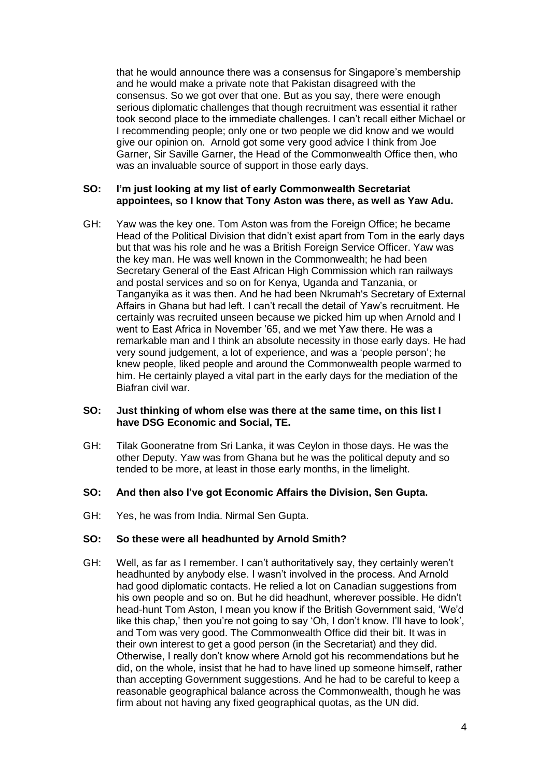that he would announce there was a consensus for Singapore's membership and he would make a private note that Pakistan disagreed with the consensus. So we got over that one. But as you say, there were enough serious diplomatic challenges that though recruitment was essential it rather took second place to the immediate challenges. I can't recall either Michael or I recommending people; only one or two people we did know and we would give our opinion on. Arnold got some very good advice I think from Joe Garner, Sir Saville Garner, the Head of the Commonwealth Office then, who was an invaluable source of support in those early days.

#### **SO: I'm just looking at my list of early Commonwealth Secretariat appointees, so I know that Tony Aston was there, as well as Yaw Adu.**

GH: Yaw was the key one. Tom Aston was from the Foreign Office; he became Head of the Political Division that didn't exist apart from Tom in the early days but that was his role and he was a British Foreign Service Officer. Yaw was the key man. He was well known in the Commonwealth; he had been Secretary General of the East African High Commission which ran railways and postal services and so on for Kenya, Uganda and Tanzania, or Tanganyika as it was then. And he had been Nkrumah's Secretary of External Affairs in Ghana but had left. I can't recall the detail of Yaw's recruitment. He certainly was recruited unseen because we picked him up when Arnold and I went to East Africa in November '65, and we met Yaw there. He was a remarkable man and I think an absolute necessity in those early days. He had very sound judgement, a lot of experience, and was a 'people person'; he knew people, liked people and around the Commonwealth people warmed to him. He certainly played a vital part in the early days for the mediation of the Biafran civil war.

#### **SO: Just thinking of whom else was there at the same time, on this list I have DSG Economic and Social, TE.**

GH: Tilak Gooneratne from Sri Lanka, it was Ceylon in those days. He was the other Deputy. Yaw was from Ghana but he was the political deputy and so tended to be more, at least in those early months, in the limelight.

#### **SO: And then also I've got Economic Affairs the Division, Sen Gupta.**

GH: Yes, he was from India. Nirmal Sen Gupta.

#### **SO: So these were all headhunted by Arnold Smith?**

GH: Well, as far as I remember. I can't authoritatively say, they certainly weren't headhunted by anybody else. I wasn't involved in the process. And Arnold had good diplomatic contacts. He relied a lot on Canadian suggestions from his own people and so on. But he did headhunt, wherever possible. He didn't head-hunt Tom Aston, I mean you know if the British Government said, 'We'd like this chap,' then you're not going to say 'Oh, I don't know. I'll have to look', and Tom was very good. The Commonwealth Office did their bit. It was in their own interest to get a good person (in the Secretariat) and they did. Otherwise, I really don't know where Arnold got his recommendations but he did, on the whole, insist that he had to have lined up someone himself, rather than accepting Government suggestions. And he had to be careful to keep a reasonable geographical balance across the Commonwealth, though he was firm about not having any fixed geographical quotas, as the UN did.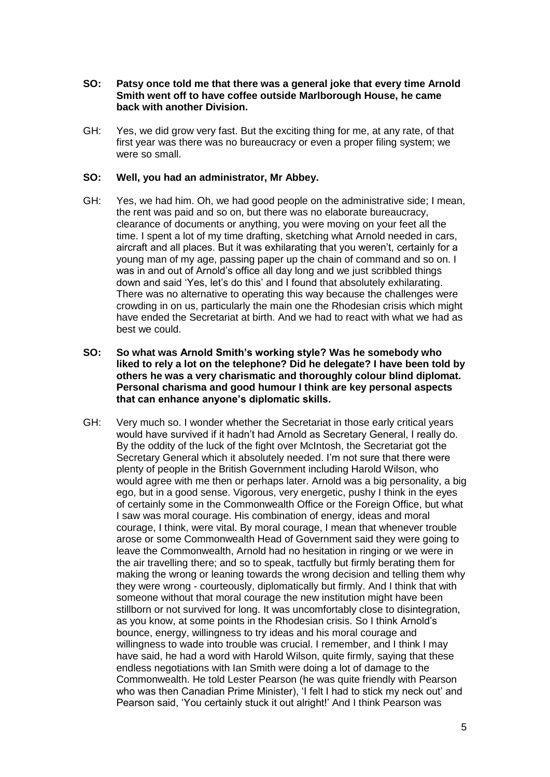- **SO: Patsy once told me that there was a general joke that every time Arnold Smith went off to have coffee outside Marlborough House, he came back with another Division.**
- GH: Yes, we did grow very fast. But the exciting thing for me, at any rate, of that first year was there was no bureaucracy or even a proper filing system; we were so small.

### **SO: Well, you had an administrator, Mr Abbey.**

- GH: Yes, we had him. Oh, we had good people on the administrative side; I mean, the rent was paid and so on, but there was no elaborate bureaucracy, clearance of documents or anything, you were moving on your feet all the time. I spent a lot of my time drafting, sketching what Arnold needed in cars, aircraft and all places. But it was exhilarating that you weren't, certainly for a young man of my age, passing paper up the chain of command and so on. I was in and out of Arnold's office all day long and we just scribbled things down and said 'Yes, let's do this' and I found that absolutely exhilarating. There was no alternative to operating this way because the challenges were crowding in on us, particularly the main one the Rhodesian crisis which might have ended the Secretariat at birth. And we had to react with what we had as best we could.
- **SO: So what was Arnold Smith's working style? Was he somebody who liked to rely a lot on the telephone? Did he delegate? I have been told by others he was a very charismatic and thoroughly colour blind diplomat. Personal charisma and good humour I think are key personal aspects that can enhance anyone's diplomatic skills.**
- GH: Very much so. I wonder whether the Secretariat in those early critical years would have survived if it hadn't had Arnold as Secretary General, I really do. By the oddity of the luck of the fight over McIntosh, the Secretariat got the Secretary General which it absolutely needed. I'm not sure that there were plenty of people in the British Government including Harold Wilson, who would agree with me then or perhaps later. Arnold was a big personality, a big ego, but in a good sense. Vigorous, very energetic, pushy I think in the eyes of certainly some in the Commonwealth Office or the Foreign Office, but what I saw was moral courage. His combination of energy, ideas and moral courage, I think, were vital. By moral courage, I mean that whenever trouble arose or some Commonwealth Head of Government said they were going to leave the Commonwealth, Arnold had no hesitation in ringing or we were in the air travelling there; and so to speak, tactfully but firmly berating them for making the wrong or leaning towards the wrong decision and telling them why they were wrong - courteously, diplomatically but firmly. And I think that with someone without that moral courage the new institution might have been stillborn or not survived for long. It was uncomfortably close to disintegration, as you know, at some points in the Rhodesian crisis. So I think Arnold's bounce, energy, willingness to try ideas and his moral courage and willingness to wade into trouble was crucial. I remember, and I think I may have said, he had a word with Harold Wilson, quite firmly, saying that these endless negotiations with Ian Smith were doing a lot of damage to the Commonwealth. He told Lester Pearson (he was quite friendly with Pearson who was then Canadian Prime Minister), 'I felt I had to stick my neck out' and Pearson said, 'You certainly stuck it out alright!' And I think Pearson was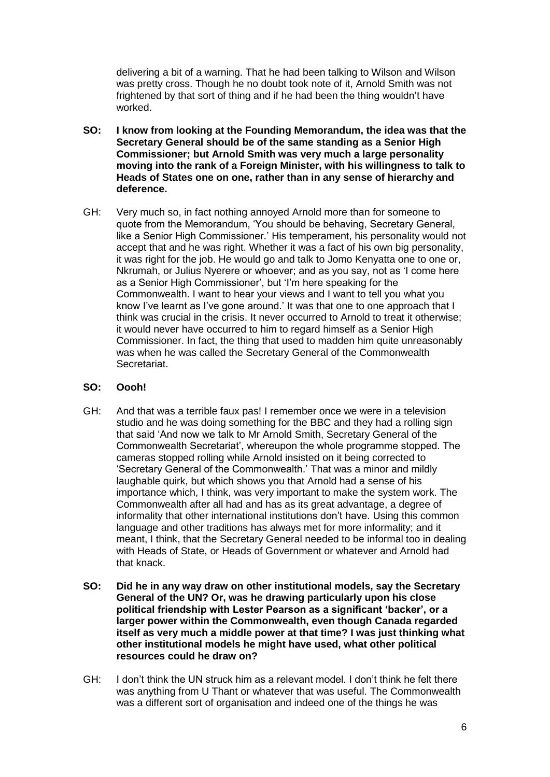delivering a bit of a warning. That he had been talking to Wilson and Wilson was pretty cross. Though he no doubt took note of it, Arnold Smith was not frightened by that sort of thing and if he had been the thing wouldn't have worked.

- **SO: I know from looking at the Founding Memorandum, the idea was that the Secretary General should be of the same standing as a Senior High Commissioner; but Arnold Smith was very much a large personality moving into the rank of a Foreign Minister, with his willingness to talk to Heads of States one on one, rather than in any sense of hierarchy and deference.**
- GH: Very much so, in fact nothing annoyed Arnold more than for someone to quote from the Memorandum, 'You should be behaving, Secretary General, like a Senior High Commissioner.' His temperament, his personality would not accept that and he was right. Whether it was a fact of his own big personality, it was right for the job. He would go and talk to Jomo Kenyatta one to one or, Nkrumah, or Julius Nyerere or whoever; and as you say, not as 'I come here as a Senior High Commissioner', but 'I'm here speaking for the Commonwealth. I want to hear your views and I want to tell you what you know I've learnt as I've gone around.' It was that one to one approach that I think was crucial in the crisis. It never occurred to Arnold to treat it otherwise; it would never have occurred to him to regard himself as a Senior High Commissioner. In fact, the thing that used to madden him quite unreasonably was when he was called the Secretary General of the Commonwealth Secretariat.

# **SO: Oooh!**

- GH: And that was a terrible faux pas! I remember once we were in a television studio and he was doing something for the BBC and they had a rolling sign that said 'And now we talk to Mr Arnold Smith, Secretary General of the Commonwealth Secretariat', whereupon the whole programme stopped. The cameras stopped rolling while Arnold insisted on it being corrected to 'Secretary General of the Commonwealth.' That was a minor and mildly laughable quirk, but which shows you that Arnold had a sense of his importance which, I think, was very important to make the system work. The Commonwealth after all had and has as its great advantage, a degree of informality that other international institutions don't have. Using this common language and other traditions has always met for more informality; and it meant, I think, that the Secretary General needed to be informal too in dealing with Heads of State, or Heads of Government or whatever and Arnold had that knack.
- **SO: Did he in any way draw on other institutional models, say the Secretary General of the UN? Or, was he drawing particularly upon his close political friendship with Lester Pearson as a significant 'backer', or a larger power within the Commonwealth, even though Canada regarded itself as very much a middle power at that time? I was just thinking what other institutional models he might have used, what other political resources could he draw on?**
- GH: I don't think the UN struck him as a relevant model. I don't think he felt there was anything from U Thant or whatever that was useful. The Commonwealth was a different sort of organisation and indeed one of the things he was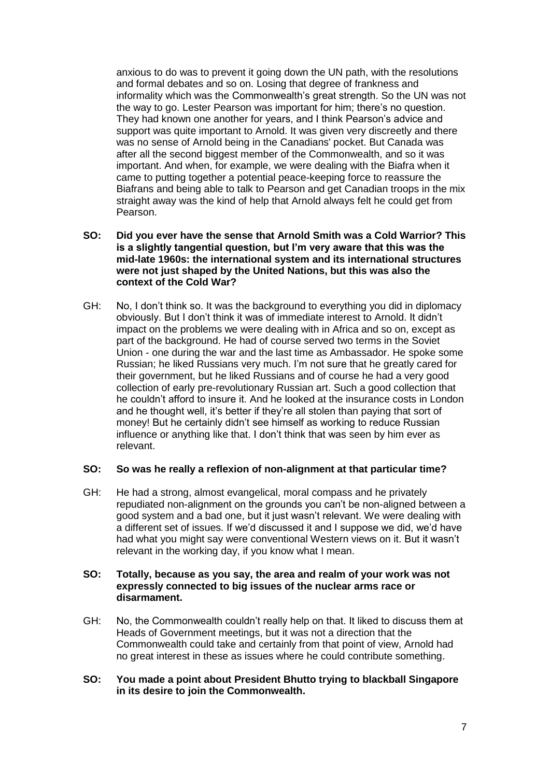anxious to do was to prevent it going down the UN path, with the resolutions and formal debates and so on. Losing that degree of frankness and informality which was the Commonwealth's great strength. So the UN was not the way to go. Lester Pearson was important for him; there's no question. They had known one another for years, and I think Pearson's advice and support was quite important to Arnold. It was given very discreetly and there was no sense of Arnold being in the Canadians' pocket. But Canada was after all the second biggest member of the Commonwealth, and so it was important. And when, for example, we were dealing with the Biafra when it came to putting together a potential peace-keeping force to reassure the Biafrans and being able to talk to Pearson and get Canadian troops in the mix straight away was the kind of help that Arnold always felt he could get from Pearson.

- **SO: Did you ever have the sense that Arnold Smith was a Cold Warrior? This is a slightly tangential question, but I'm very aware that this was the mid-late 1960s: the international system and its international structures were not just shaped by the United Nations, but this was also the context of the Cold War?**
- GH: No, I don't think so. It was the background to everything you did in diplomacy obviously. But I don't think it was of immediate interest to Arnold. It didn't impact on the problems we were dealing with in Africa and so on, except as part of the background. He had of course served two terms in the Soviet Union - one during the war and the last time as Ambassador. He spoke some Russian; he liked Russians very much. I'm not sure that he greatly cared for their government, but he liked Russians and of course he had a very good collection of early pre-revolutionary Russian art. Such a good collection that he couldn't afford to insure it. And he looked at the insurance costs in London and he thought well, it's better if they're all stolen than paying that sort of money! But he certainly didn't see himself as working to reduce Russian influence or anything like that. I don't think that was seen by him ever as relevant.

# **SO: So was he really a reflexion of non-alignment at that particular time?**

GH: He had a strong, almost evangelical, moral compass and he privately repudiated non-alignment on the grounds you can't be non-aligned between a good system and a bad one, but it just wasn't relevant. We were dealing with a different set of issues. If we'd discussed it and I suppose we did, we'd have had what you might say were conventional Western views on it. But it wasn't relevant in the working day, if you know what I mean.

#### **SO: Totally, because as you say, the area and realm of your work was not expressly connected to big issues of the nuclear arms race or disarmament.**

- GH: No, the Commonwealth couldn't really help on that. It liked to discuss them at Heads of Government meetings, but it was not a direction that the Commonwealth could take and certainly from that point of view, Arnold had no great interest in these as issues where he could contribute something.
- **SO: You made a point about President Bhutto trying to blackball Singapore in its desire to join the Commonwealth.**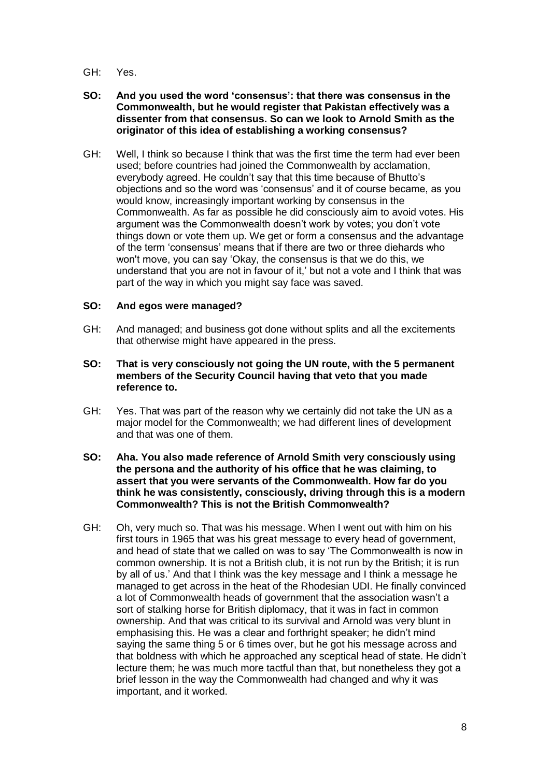- GH: Yes.
- **SO: And you used the word 'consensus': that there was consensus in the Commonwealth, but he would register that Pakistan effectively was a dissenter from that consensus. So can we look to Arnold Smith as the originator of this idea of establishing a working consensus?**
- GH: Well, I think so because I think that was the first time the term had ever been used; before countries had joined the Commonwealth by acclamation, everybody agreed. He couldn't say that this time because of Bhutto's objections and so the word was 'consensus' and it of course became, as you would know, increasingly important working by consensus in the Commonwealth. As far as possible he did consciously aim to avoid votes. His argument was the Commonwealth doesn't work by votes; you don't vote things down or vote them up. We get or form a consensus and the advantage of the term 'consensus' means that if there are two or three diehards who won't move, you can say 'Okay, the consensus is that we do this, we understand that you are not in favour of it,' but not a vote and I think that was part of the way in which you might say face was saved.

# **SO: And egos were managed?**

- GH: And managed; and business got done without splits and all the excitements that otherwise might have appeared in the press.
- **SO: That is very consciously not going the UN route, with the 5 permanent members of the Security Council having that veto that you made reference to.**
- GH: Yes. That was part of the reason why we certainly did not take the UN as a major model for the Commonwealth; we had different lines of development and that was one of them.
- **SO: Aha. You also made reference of Arnold Smith very consciously using the persona and the authority of his office that he was claiming, to assert that you were servants of the Commonwealth. How far do you think he was consistently, consciously, driving through this is a modern Commonwealth? This is not the British Commonwealth?**
- GH: Oh, very much so. That was his message. When I went out with him on his first tours in 1965 that was his great message to every head of government, and head of state that we called on was to say 'The Commonwealth is now in common ownership. It is not a British club, it is not run by the British; it is run by all of us.' And that I think was the key message and I think a message he managed to get across in the heat of the Rhodesian UDI. He finally convinced a lot of Commonwealth heads of government that the association wasn't a sort of stalking horse for British diplomacy, that it was in fact in common ownership. And that was critical to its survival and Arnold was very blunt in emphasising this. He was a clear and forthright speaker; he didn't mind saying the same thing 5 or 6 times over, but he got his message across and that boldness with which he approached any sceptical head of state. He didn't lecture them; he was much more tactful than that, but nonetheless they got a brief lesson in the way the Commonwealth had changed and why it was important, and it worked.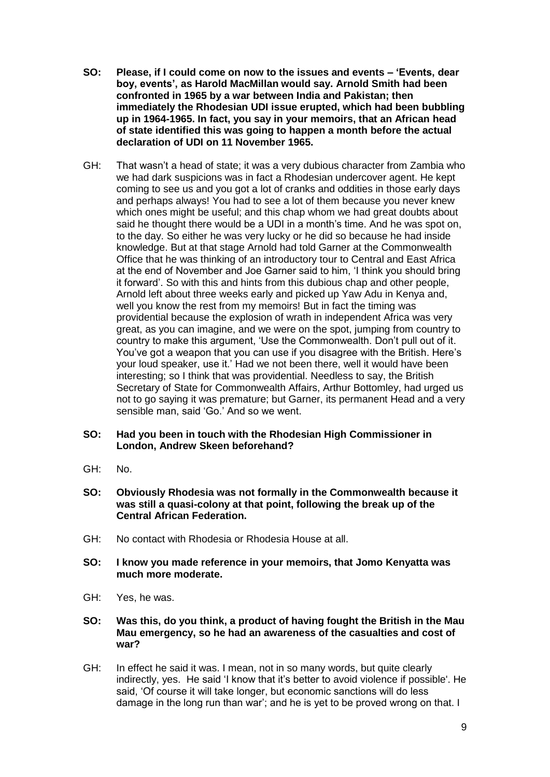- **SO: Please, if I could come on now to the issues and events – 'Events, dear boy, events', as Harold MacMillan would say. Arnold Smith had been confronted in 1965 by a war between India and Pakistan; then immediately the Rhodesian UDI issue erupted, which had been bubbling up in 1964-1965. In fact, you say in your memoirs, that an African head of state identified this was going to happen a month before the actual declaration of UDI on 11 November 1965.**
- GH: That wasn't a head of state; it was a very dubious character from Zambia who we had dark suspicions was in fact a Rhodesian undercover agent. He kept coming to see us and you got a lot of cranks and oddities in those early days and perhaps always! You had to see a lot of them because you never knew which ones might be useful; and this chap whom we had great doubts about said he thought there would be a UDI in a month's time. And he was spot on, to the day. So either he was very lucky or he did so because he had inside knowledge. But at that stage Arnold had told Garner at the Commonwealth Office that he was thinking of an introductory tour to Central and East Africa at the end of November and Joe Garner said to him, 'I think you should bring it forward'. So with this and hints from this dubious chap and other people, Arnold left about three weeks early and picked up Yaw Adu in Kenya and, well you know the rest from my memoirs! But in fact the timing was providential because the explosion of wrath in independent Africa was very great, as you can imagine, and we were on the spot, jumping from country to country to make this argument, 'Use the Commonwealth. Don't pull out of it. You've got a weapon that you can use if you disagree with the British. Here's your loud speaker, use it.' Had we not been there, well it would have been interesting; so I think that was providential. Needless to say, the British Secretary of State for Commonwealth Affairs, Arthur Bottomley, had urged us not to go saying it was premature; but Garner, its permanent Head and a very sensible man, said 'Go.' And so we went.

#### **SO: Had you been in touch with the Rhodesian High Commissioner in London, Andrew Skeen beforehand?**

- GH: No.
- **SO: Obviously Rhodesia was not formally in the Commonwealth because it was still a quasi-colony at that point, following the break up of the Central African Federation.**
- GH: No contact with Rhodesia or Rhodesia House at all.
- **SO: I know you made reference in your memoirs, that Jomo Kenyatta was much more moderate.**
- GH: Yes, he was.
- **SO: Was this, do you think, a product of having fought the British in the Mau Mau emergency, so he had an awareness of the casualties and cost of war?**
- GH: In effect he said it was. I mean, not in so many words, but quite clearly indirectly, yes. He said 'I know that it's better to avoid violence if possible'. He said, 'Of course it will take longer, but economic sanctions will do less damage in the long run than war'; and he is yet to be proved wrong on that. I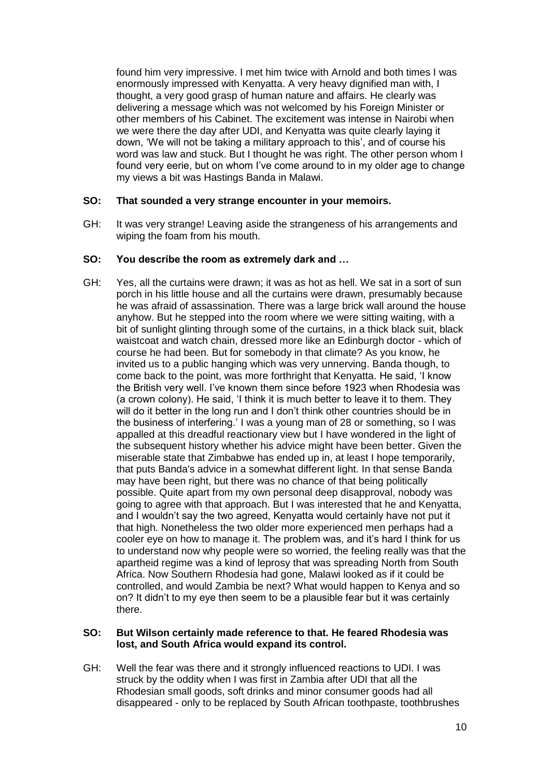found him very impressive. I met him twice with Arnold and both times I was enormously impressed with Kenyatta. A very heavy dignified man with, I thought, a very good grasp of human nature and affairs. He clearly was delivering a message which was not welcomed by his Foreign Minister or other members of his Cabinet. The excitement was intense in Nairobi when we were there the day after UDI, and Kenyatta was quite clearly laying it down, 'We will not be taking a military approach to this', and of course his word was law and stuck. But I thought he was right. The other person whom I found very eerie, but on whom I've come around to in my older age to change my views a bit was Hastings Banda in Malawi.

### **SO: That sounded a very strange encounter in your memoirs.**

GH: It was very strange! Leaving aside the strangeness of his arrangements and wiping the foam from his mouth.

#### **SO: You describe the room as extremely dark and …**

GH: Yes, all the curtains were drawn; it was as hot as hell. We sat in a sort of sun porch in his little house and all the curtains were drawn, presumably because he was afraid of assassination. There was a large brick wall around the house anyhow. But he stepped into the room where we were sitting waiting, with a bit of sunlight glinting through some of the curtains, in a thick black suit, black waistcoat and watch chain, dressed more like an Edinburgh doctor - which of course he had been. But for somebody in that climate? As you know, he invited us to a public hanging which was very unnerving. Banda though, to come back to the point, was more forthright that Kenyatta. He said, 'I know the British very well. I've known them since before 1923 when Rhodesia was (a crown colony). He said, 'I think it is much better to leave it to them. They will do it better in the long run and I don't think other countries should be in the business of interfering.' I was a young man of 28 or something, so I was appalled at this dreadful reactionary view but I have wondered in the light of the subsequent history whether his advice might have been better. Given the miserable state that Zimbabwe has ended up in, at least I hope temporarily, that puts Banda's advice in a somewhat different light. In that sense Banda may have been right, but there was no chance of that being politically possible. Quite apart from my own personal deep disapproval, nobody was going to agree with that approach. But I was interested that he and Kenyatta, and I wouldn't say the two agreed, Kenyatta would certainly have not put it that high. Nonetheless the two older more experienced men perhaps had a cooler eye on how to manage it. The problem was, and it's hard I think for us to understand now why people were so worried, the feeling really was that the apartheid regime was a kind of leprosy that was spreading North from South Africa. Now Southern Rhodesia had gone, Malawi looked as if it could be controlled, and would Zambia be next? What would happen to Kenya and so on? It didn't to my eye then seem to be a plausible fear but it was certainly there.

#### **SO: But Wilson certainly made reference to that. He feared Rhodesia was lost, and South Africa would expand its control.**

GH: Well the fear was there and it strongly influenced reactions to UDI. I was struck by the oddity when I was first in Zambia after UDI that all the Rhodesian small goods, soft drinks and minor consumer goods had all disappeared - only to be replaced by South African toothpaste, toothbrushes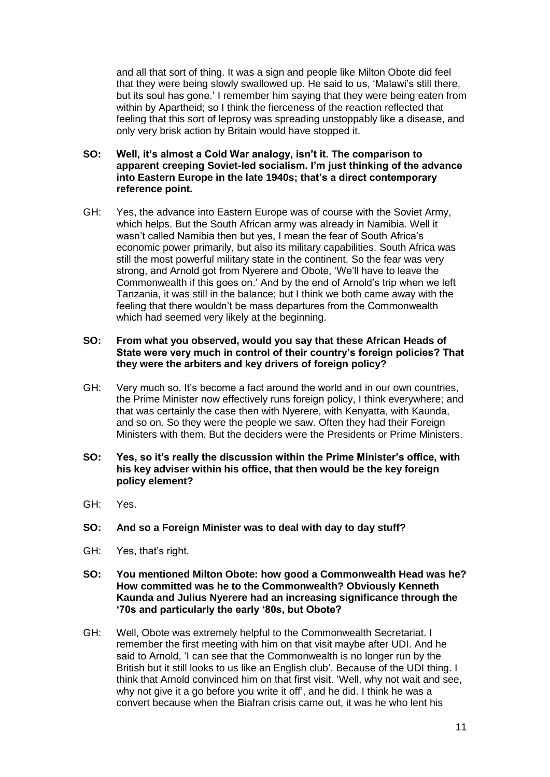and all that sort of thing. It was a sign and people like Milton Obote did feel that they were being slowly swallowed up. He said to us, 'Malawi's still there, but its soul has gone.' I remember him saying that they were being eaten from within by Apartheid; so I think the fierceness of the reaction reflected that feeling that this sort of leprosy was spreading unstoppably like a disease, and only very brisk action by Britain would have stopped it.

- **SO: Well, it's almost a Cold War analogy, isn't it. The comparison to apparent creeping Soviet-led socialism. I'm just thinking of the advance into Eastern Europe in the late 1940s; that's a direct contemporary reference point.**
- GH: Yes, the advance into Eastern Europe was of course with the Soviet Army, which helps. But the South African army was already in Namibia. Well it wasn't called Namibia then but yes, I mean the fear of South Africa's economic power primarily, but also its military capabilities. South Africa was still the most powerful military state in the continent. So the fear was very strong, and Arnold got from Nyerere and Obote, 'We'll have to leave the Commonwealth if this goes on.' And by the end of Arnold's trip when we left Tanzania, it was still in the balance; but I think we both came away with the feeling that there wouldn't be mass departures from the Commonwealth which had seemed very likely at the beginning.

#### **SO: From what you observed, would you say that these African Heads of State were very much in control of their country's foreign policies? That they were the arbiters and key drivers of foreign policy?**

- GH: Very much so. It's become a fact around the world and in our own countries, the Prime Minister now effectively runs foreign policy, I think everywhere; and that was certainly the case then with Nyerere, with Kenyatta, with Kaunda, and so on. So they were the people we saw. Often they had their Foreign Ministers with them. But the deciders were the Presidents or Prime Ministers.
- **SO: Yes, so it's really the discussion within the Prime Minister's office, with his key adviser within his office, that then would be the key foreign policy element?**
- GH: Yes.
- **SO: And so a Foreign Minister was to deal with day to day stuff?**
- GH: Yes, that's right.
- **SO: You mentioned Milton Obote: how good a Commonwealth Head was he? How committed was he to the Commonwealth? Obviously Kenneth Kaunda and Julius Nyerere had an increasing significance through the '70s and particularly the early '80s, but Obote?**
- GH: Well, Obote was extremely helpful to the Commonwealth Secretariat. I remember the first meeting with him on that visit maybe after UDI. And he said to Arnold, 'I can see that the Commonwealth is no longer run by the British but it still looks to us like an English club'. Because of the UDI thing. I think that Arnold convinced him on that first visit. 'Well, why not wait and see, why not give it a go before you write it off', and he did. I think he was a convert because when the Biafran crisis came out, it was he who lent his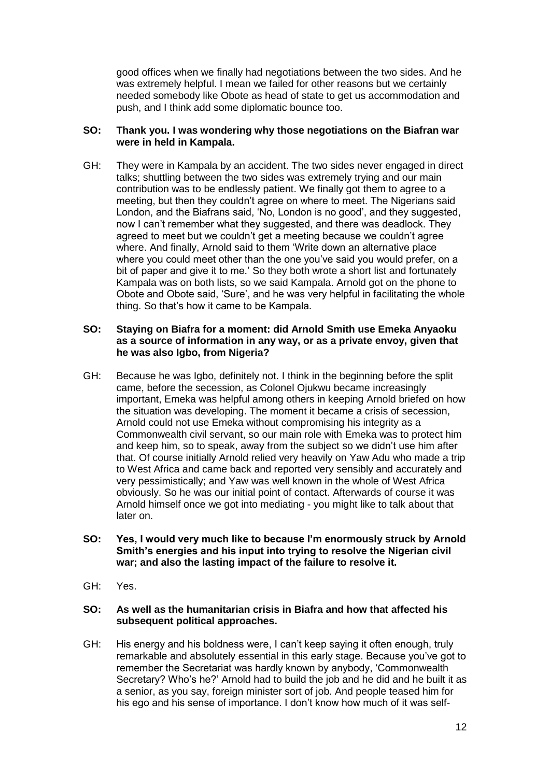good offices when we finally had negotiations between the two sides. And he was extremely helpful. I mean we failed for other reasons but we certainly needed somebody like Obote as head of state to get us accommodation and push, and I think add some diplomatic bounce too.

# **SO: Thank you. I was wondering why those negotiations on the Biafran war were in held in Kampala.**

GH: They were in Kampala by an accident. The two sides never engaged in direct talks; shuttling between the two sides was extremely trying and our main contribution was to be endlessly patient. We finally got them to agree to a meeting, but then they couldn't agree on where to meet. The Nigerians said London, and the Biafrans said, 'No, London is no good', and they suggested, now I can't remember what they suggested, and there was deadlock. They agreed to meet but we couldn't get a meeting because we couldn't agree where. And finally, Arnold said to them 'Write down an alternative place where you could meet other than the one you've said you would prefer, on a bit of paper and give it to me.' So they both wrote a short list and fortunately Kampala was on both lists, so we said Kampala. Arnold got on the phone to Obote and Obote said, 'Sure', and he was very helpful in facilitating the whole thing. So that's how it came to be Kampala.

### **SO: Staying on Biafra for a moment: did Arnold Smith use Emeka Anyaoku as a source of information in any way, or as a private envoy, given that he was also Igbo, from Nigeria?**

GH: Because he was Igbo, definitely not. I think in the beginning before the split came, before the secession, as Colonel Ojukwu became increasingly important, Emeka was helpful among others in keeping Arnold briefed on how the situation was developing. The moment it became a crisis of secession, Arnold could not use Emeka without compromising his integrity as a Commonwealth civil servant, so our main role with Emeka was to protect him and keep him, so to speak, away from the subject so we didn't use him after that. Of course initially Arnold relied very heavily on Yaw Adu who made a trip to West Africa and came back and reported very sensibly and accurately and very pessimistically; and Yaw was well known in the whole of West Africa obviously. So he was our initial point of contact. Afterwards of course it was Arnold himself once we got into mediating - you might like to talk about that later on.

### **SO: Yes, I would very much like to because I'm enormously struck by Arnold Smith's energies and his input into trying to resolve the Nigerian civil war; and also the lasting impact of the failure to resolve it.**

GH: Yes.

#### **SO: As well as the humanitarian crisis in Biafra and how that affected his subsequent political approaches.**

GH: His energy and his boldness were, I can't keep saying it often enough, truly remarkable and absolutely essential in this early stage. Because you've got to remember the Secretariat was hardly known by anybody, 'Commonwealth Secretary? Who's he?' Arnold had to build the job and he did and he built it as a senior, as you say, foreign minister sort of job. And people teased him for his ego and his sense of importance. I don't know how much of it was self-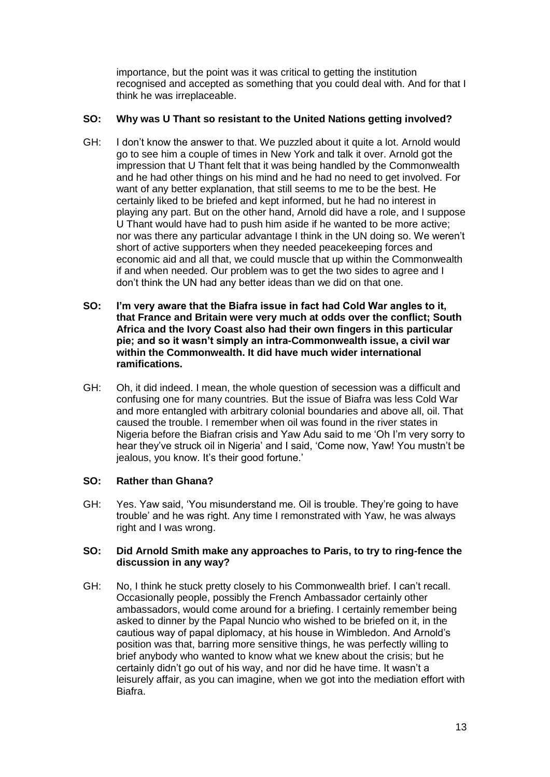importance, but the point was it was critical to getting the institution recognised and accepted as something that you could deal with. And for that I think he was irreplaceable.

# **SO: Why was U Thant so resistant to the United Nations getting involved?**

- GH: I don't know the answer to that. We puzzled about it quite a lot. Arnold would go to see him a couple of times in New York and talk it over. Arnold got the impression that U Thant felt that it was being handled by the Commonwealth and he had other things on his mind and he had no need to get involved. For want of any better explanation, that still seems to me to be the best. He certainly liked to be briefed and kept informed, but he had no interest in playing any part. But on the other hand, Arnold did have a role, and I suppose U Thant would have had to push him aside if he wanted to be more active; nor was there any particular advantage I think in the UN doing so. We weren't short of active supporters when they needed peacekeeping forces and economic aid and all that, we could muscle that up within the Commonwealth if and when needed. Our problem was to get the two sides to agree and I don't think the UN had any better ideas than we did on that one.
- **SO: I'm very aware that the Biafra issue in fact had Cold War angles to it, that France and Britain were very much at odds over the conflict; South Africa and the Ivory Coast also had their own fingers in this particular pie; and so it wasn't simply an intra-Commonwealth issue, a civil war within the Commonwealth. It did have much wider international ramifications.**
- GH: Oh, it did indeed. I mean, the whole question of secession was a difficult and confusing one for many countries. But the issue of Biafra was less Cold War and more entangled with arbitrary colonial boundaries and above all, oil. That caused the trouble. I remember when oil was found in the river states in Nigeria before the Biafran crisis and Yaw Adu said to me 'Oh I'm very sorry to hear they've struck oil in Nigeria' and I said, 'Come now, Yaw! You mustn't be jealous, you know. It's their good fortune.'

# **SO: Rather than Ghana?**

GH: Yes. Yaw said, 'You misunderstand me. Oil is trouble. They're going to have trouble' and he was right. Any time I remonstrated with Yaw, he was always right and I was wrong.

# **SO: Did Arnold Smith make any approaches to Paris, to try to ring-fence the discussion in any way?**

GH: No, I think he stuck pretty closely to his Commonwealth brief. I can't recall. Occasionally people, possibly the French Ambassador certainly other ambassadors, would come around for a briefing. I certainly remember being asked to dinner by the Papal Nuncio who wished to be briefed on it, in the cautious way of papal diplomacy, at his house in Wimbledon. And Arnold's position was that, barring more sensitive things, he was perfectly willing to brief anybody who wanted to know what we knew about the crisis; but he certainly didn't go out of his way, and nor did he have time. It wasn't a leisurely affair, as you can imagine, when we got into the mediation effort with Biafra.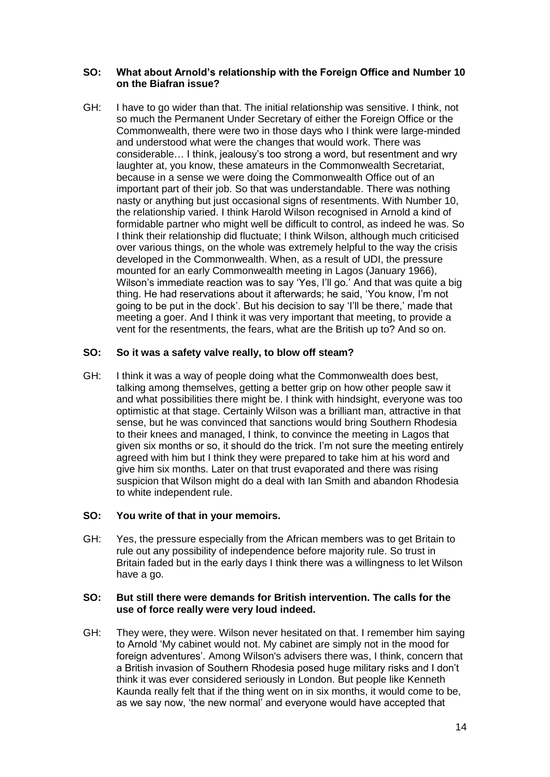### **SO: What about Arnold's relationship with the Foreign Office and Number 10 on the Biafran issue?**

GH: I have to go wider than that. The initial relationship was sensitive. I think, not so much the Permanent Under Secretary of either the Foreign Office or the Commonwealth, there were two in those days who I think were large-minded and understood what were the changes that would work. There was considerable… I think, jealousy's too strong a word, but resentment and wry laughter at, you know, these amateurs in the Commonwealth Secretariat, because in a sense we were doing the Commonwealth Office out of an important part of their job. So that was understandable. There was nothing nasty or anything but just occasional signs of resentments. With Number 10, the relationship varied. I think Harold Wilson recognised in Arnold a kind of formidable partner who might well be difficult to control, as indeed he was. So I think their relationship did fluctuate; I think Wilson, although much criticised over various things, on the whole was extremely helpful to the way the crisis developed in the Commonwealth. When, as a result of UDI, the pressure mounted for an early Commonwealth meeting in Lagos (January 1966), Wilson's immediate reaction was to say 'Yes, I'll go.' And that was quite a big thing. He had reservations about it afterwards; he said, 'You know, I'm not going to be put in the dock'. But his decision to say 'I'll be there,' made that meeting a goer. And I think it was very important that meeting, to provide a vent for the resentments, the fears, what are the British up to? And so on.

# **SO: So it was a safety valve really, to blow off steam?**

GH: I think it was a way of people doing what the Commonwealth does best, talking among themselves, getting a better grip on how other people saw it and what possibilities there might be. I think with hindsight, everyone was too optimistic at that stage. Certainly Wilson was a brilliant man, attractive in that sense, but he was convinced that sanctions would bring Southern Rhodesia to their knees and managed, I think, to convince the meeting in Lagos that given six months or so, it should do the trick. I'm not sure the meeting entirely agreed with him but I think they were prepared to take him at his word and give him six months. Later on that trust evaporated and there was rising suspicion that Wilson might do a deal with Ian Smith and abandon Rhodesia to white independent rule.

# **SO: You write of that in your memoirs.**

GH: Yes, the pressure especially from the African members was to get Britain to rule out any possibility of independence before majority rule. So trust in Britain faded but in the early days I think there was a willingness to let Wilson have a go.

#### **SO: But still there were demands for British intervention. The calls for the use of force really were very loud indeed.**

GH: They were, they were. Wilson never hesitated on that. I remember him saying to Arnold 'My cabinet would not. My cabinet are simply not in the mood for foreign adventures'. Among Wilson's advisers there was, I think, concern that a British invasion of Southern Rhodesia posed huge military risks and I don't think it was ever considered seriously in London. But people like Kenneth Kaunda really felt that if the thing went on in six months, it would come to be, as we say now, 'the new normal' and everyone would have accepted that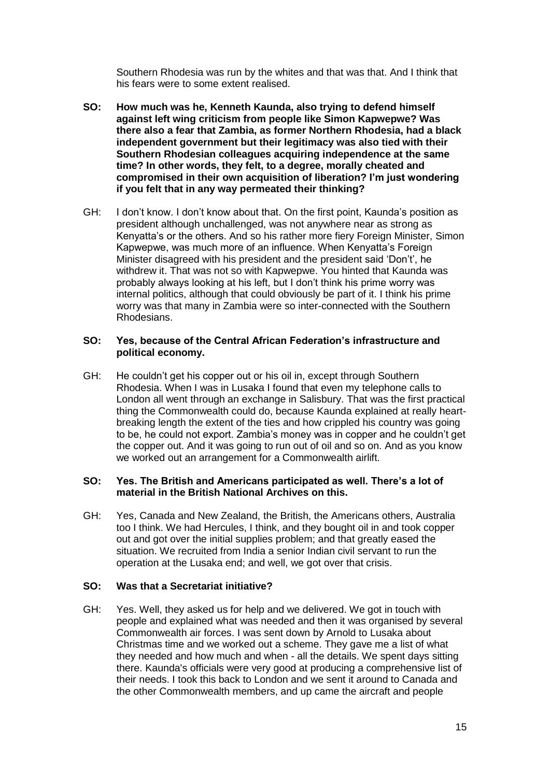Southern Rhodesia was run by the whites and that was that. And I think that his fears were to some extent realised.

- **SO: How much was he, Kenneth Kaunda, also trying to defend himself against left wing criticism from people like Simon Kapwepwe? Was there also a fear that Zambia, as former Northern Rhodesia, had a black independent government but their legitimacy was also tied with their Southern Rhodesian colleagues acquiring independence at the same time? In other words, they felt, to a degree, morally cheated and compromised in their own acquisition of liberation? I'm just wondering if you felt that in any way permeated their thinking?**
- GH: I don't know. I don't know about that. On the first point, Kaunda's position as president although unchallenged, was not anywhere near as strong as Kenyatta's or the others. And so his rather more fiery Foreign Minister, Simon Kapwepwe, was much more of an influence. When Kenyatta's Foreign Minister disagreed with his president and the president said 'Don't', he withdrew it. That was not so with Kapwepwe. You hinted that Kaunda was probably always looking at his left, but I don't think his prime worry was internal politics, although that could obviously be part of it. I think his prime worry was that many in Zambia were so inter-connected with the Southern Rhodesians.

#### **SO: Yes, because of the Central African Federation's infrastructure and political economy.**

GH: He couldn't get his copper out or his oil in, except through Southern Rhodesia. When I was in Lusaka I found that even my telephone calls to London all went through an exchange in Salisbury. That was the first practical thing the Commonwealth could do, because Kaunda explained at really heartbreaking length the extent of the ties and how crippled his country was going to be, he could not export. Zambia's money was in copper and he couldn't get the copper out. And it was going to run out of oil and so on. And as you know we worked out an arrangement for a Commonwealth airlift.

#### **SO: Yes. The British and Americans participated as well. There's a lot of material in the British National Archives on this.**

GH: Yes, Canada and New Zealand, the British, the Americans others, Australia too I think. We had Hercules, I think, and they bought oil in and took copper out and got over the initial supplies problem; and that greatly eased the situation. We recruited from India a senior Indian civil servant to run the operation at the Lusaka end; and well, we got over that crisis.

#### **SO: Was that a Secretariat initiative?**

GH: Yes. Well, they asked us for help and we delivered. We got in touch with people and explained what was needed and then it was organised by several Commonwealth air forces. I was sent down by Arnold to Lusaka about Christmas time and we worked out a scheme. They gave me a list of what they needed and how much and when - all the details. We spent days sitting there. Kaunda's officials were very good at producing a comprehensive list of their needs. I took this back to London and we sent it around to Canada and the other Commonwealth members, and up came the aircraft and people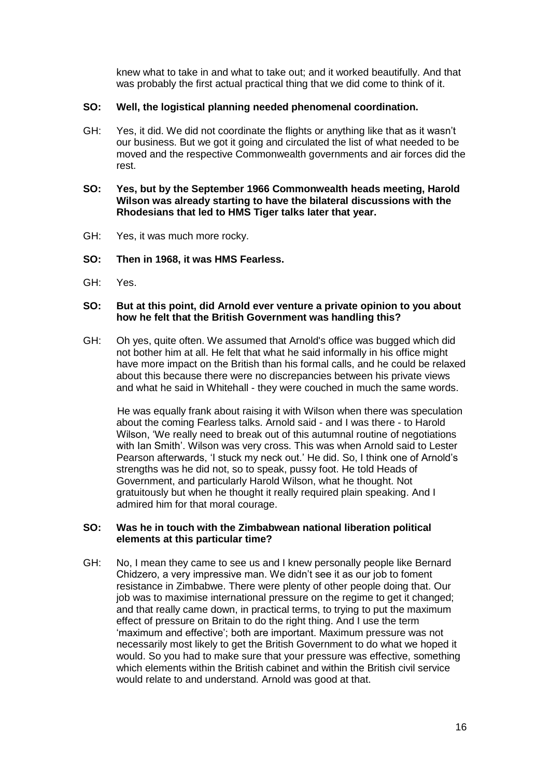knew what to take in and what to take out; and it worked beautifully. And that was probably the first actual practical thing that we did come to think of it.

# **SO: Well, the logistical planning needed phenomenal coordination.**

GH: Yes, it did. We did not coordinate the flights or anything like that as it wasn't our business. But we got it going and circulated the list of what needed to be moved and the respective Commonwealth governments and air forces did the rest.

#### **SO: Yes, but by the September 1966 Commonwealth heads meeting, Harold Wilson was already starting to have the bilateral discussions with the Rhodesians that led to HMS Tiger talks later that year.**

- GH: Yes, it was much more rocky.
- **SO: Then in 1968, it was HMS Fearless.**
- GH: Yes.

#### **SO: But at this point, did Arnold ever venture a private opinion to you about how he felt that the British Government was handling this?**

GH: Oh yes, quite often. We assumed that Arnold's office was bugged which did not bother him at all. He felt that what he said informally in his office might have more impact on the British than his formal calls, and he could be relaxed about this because there were no discrepancies between his private views and what he said in Whitehall - they were couched in much the same words.

 He was equally frank about raising it with Wilson when there was speculation about the coming Fearless talks. Arnold said - and I was there - to Harold Wilson, 'We really need to break out of this autumnal routine of negotiations with Ian Smith'. Wilson was very cross. This was when Arnold said to Lester Pearson afterwards, 'I stuck my neck out.' He did. So, I think one of Arnold's strengths was he did not, so to speak, pussy foot. He told Heads of Government, and particularly Harold Wilson, what he thought. Not gratuitously but when he thought it really required plain speaking. And I admired him for that moral courage.

#### **SO: Was he in touch with the Zimbabwean national liberation political elements at this particular time?**

GH: No, I mean they came to see us and I knew personally people like Bernard Chidzero, a very impressive man. We didn't see it as our job to foment resistance in Zimbabwe. There were plenty of other people doing that. Our job was to maximise international pressure on the regime to get it changed; and that really came down, in practical terms, to trying to put the maximum effect of pressure on Britain to do the right thing. And I use the term 'maximum and effective'; both are important. Maximum pressure was not necessarily most likely to get the British Government to do what we hoped it would. So you had to make sure that your pressure was effective, something which elements within the British cabinet and within the British civil service would relate to and understand. Arnold was good at that.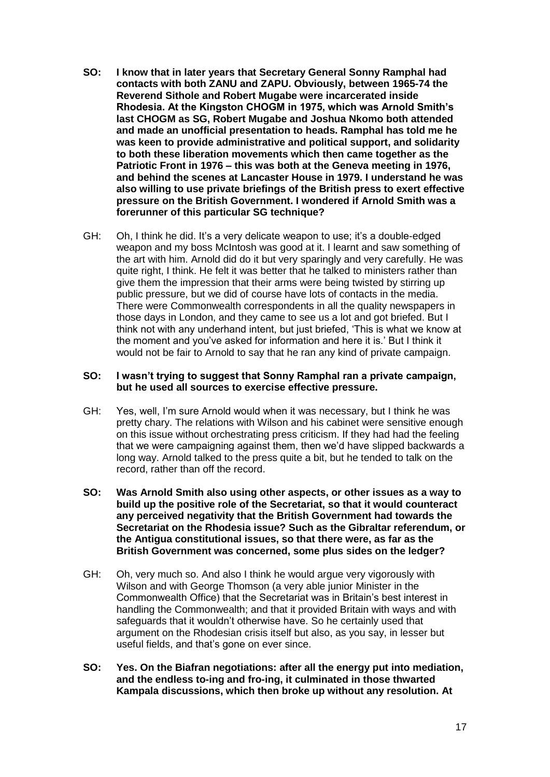- **SO: I know that in later years that Secretary General Sonny Ramphal had contacts with both ZANU and ZAPU. Obviously, between 1965-74 the Reverend Sithole and Robert Mugabe were incarcerated inside Rhodesia. At the Kingston CHOGM in 1975, which was Arnold Smith's last CHOGM as SG, Robert Mugabe and Joshua Nkomo both attended and made an unofficial presentation to heads. Ramphal has told me he was keen to provide administrative and political support, and solidarity to both these liberation movements which then came together as the Patriotic Front in 1976 – this was both at the Geneva meeting in 1976, and behind the scenes at Lancaster House in 1979. I understand he was also willing to use private briefings of the British press to exert effective pressure on the British Government. I wondered if Arnold Smith was a forerunner of this particular SG technique?**
- GH: Oh, I think he did. It's a very delicate weapon to use; it's a double-edged weapon and my boss McIntosh was good at it. I learnt and saw something of the art with him. Arnold did do it but very sparingly and very carefully. He was quite right, I think. He felt it was better that he talked to ministers rather than give them the impression that their arms were being twisted by stirring up public pressure, but we did of course have lots of contacts in the media. There were Commonwealth correspondents in all the quality newspapers in those days in London, and they came to see us a lot and got briefed. But I think not with any underhand intent, but just briefed, 'This is what we know at the moment and you've asked for information and here it is.' But I think it would not be fair to Arnold to say that he ran any kind of private campaign.

#### **SO: I wasn't trying to suggest that Sonny Ramphal ran a private campaign, but he used all sources to exercise effective pressure.**

- GH: Yes, well, I'm sure Arnold would when it was necessary, but I think he was pretty chary. The relations with Wilson and his cabinet were sensitive enough on this issue without orchestrating press criticism. If they had had the feeling that we were campaigning against them, then we'd have slipped backwards a long way. Arnold talked to the press quite a bit, but he tended to talk on the record, rather than off the record.
- **SO: Was Arnold Smith also using other aspects, or other issues as a way to build up the positive role of the Secretariat, so that it would counteract any perceived negativity that the British Government had towards the Secretariat on the Rhodesia issue? Such as the Gibraltar referendum, or the Antigua constitutional issues, so that there were, as far as the British Government was concerned, some plus sides on the ledger?**
- GH: Oh, very much so. And also I think he would argue very vigorously with Wilson and with George Thomson (a very able junior Minister in the Commonwealth Office) that the Secretariat was in Britain's best interest in handling the Commonwealth; and that it provided Britain with ways and with safeguards that it wouldn't otherwise have. So he certainly used that argument on the Rhodesian crisis itself but also, as you say, in lesser but useful fields, and that's gone on ever since.
- **SO: Yes. On the Biafran negotiations: after all the energy put into mediation, and the endless to-ing and fro-ing, it culminated in those thwarted Kampala discussions, which then broke up without any resolution. At**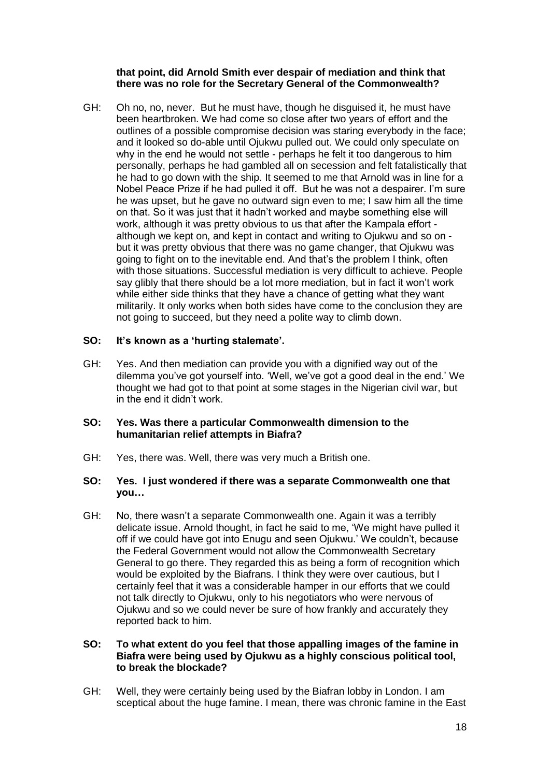### **that point, did Arnold Smith ever despair of mediation and think that there was no role for the Secretary General of the Commonwealth?**

GH: Oh no, no, never. But he must have, though he disguised it, he must have been heartbroken. We had come so close after two years of effort and the outlines of a possible compromise decision was staring everybody in the face; and it looked so do-able until Ojukwu pulled out. We could only speculate on why in the end he would not settle - perhaps he felt it too dangerous to him personally, perhaps he had gambled all on secession and felt fatalistically that he had to go down with the ship. It seemed to me that Arnold was in line for a Nobel Peace Prize if he had pulled it off. But he was not a despairer. I'm sure he was upset, but he gave no outward sign even to me; I saw him all the time on that. So it was just that it hadn't worked and maybe something else will work, although it was pretty obvious to us that after the Kampala effort although we kept on, and kept in contact and writing to Ojukwu and so on but it was pretty obvious that there was no game changer, that Ojukwu was going to fight on to the inevitable end. And that's the problem I think, often with those situations. Successful mediation is very difficult to achieve. People say glibly that there should be a lot more mediation, but in fact it won't work while either side thinks that they have a chance of getting what they want militarily. It only works when both sides have come to the conclusion they are not going to succeed, but they need a polite way to climb down.

# **SO: It's known as a 'hurting stalemate'.**

GH: Yes. And then mediation can provide you with a dignified way out of the dilemma you've got yourself into. 'Well, we've got a good deal in the end.' We thought we had got to that point at some stages in the Nigerian civil war, but in the end it didn't work.

#### **SO: Yes. Was there a particular Commonwealth dimension to the humanitarian relief attempts in Biafra?**

GH: Yes, there was. Well, there was very much a British one.

### **SO: Yes. I just wondered if there was a separate Commonwealth one that you…**

GH: No, there wasn't a separate Commonwealth one. Again it was a terribly delicate issue. Arnold thought, in fact he said to me, 'We might have pulled it off if we could have got into Enugu and seen Ojukwu.' We couldn't, because the Federal Government would not allow the Commonwealth Secretary General to go there. They regarded this as being a form of recognition which would be exploited by the Biafrans. I think they were over cautious, but I certainly feel that it was a considerable hamper in our efforts that we could not talk directly to Ojukwu, only to his negotiators who were nervous of Ojukwu and so we could never be sure of how frankly and accurately they reported back to him.

### **SO: To what extent do you feel that those appalling images of the famine in Biafra were being used by Ojukwu as a highly conscious political tool, to break the blockade?**

GH: Well, they were certainly being used by the Biafran lobby in London. I am sceptical about the huge famine. I mean, there was chronic famine in the East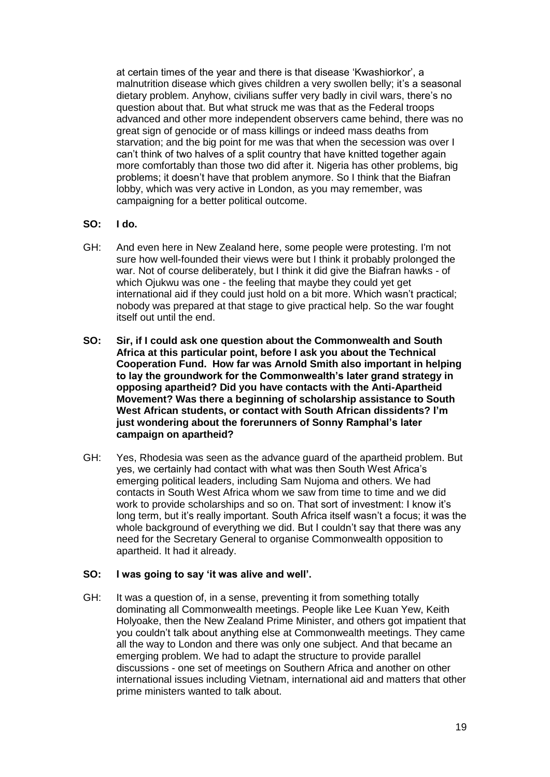at certain times of the year and there is that disease 'Kwashiorkor', a malnutrition disease which gives children a very swollen belly; it's a seasonal dietary problem. Anyhow, civilians suffer very badly in civil wars, there's no question about that. But what struck me was that as the Federal troops advanced and other more independent observers came behind, there was no great sign of genocide or of mass killings or indeed mass deaths from starvation; and the big point for me was that when the secession was over I can't think of two halves of a split country that have knitted together again more comfortably than those two did after it. Nigeria has other problems, big problems; it doesn't have that problem anymore. So I think that the Biafran lobby, which was very active in London, as you may remember, was campaigning for a better political outcome.

#### **SO: I do.**

- GH: And even here in New Zealand here, some people were protesting. I'm not sure how well-founded their views were but I think it probably prolonged the war. Not of course deliberately, but I think it did give the Biafran hawks - of which Ojukwu was one - the feeling that maybe they could yet get international aid if they could just hold on a bit more. Which wasn't practical; nobody was prepared at that stage to give practical help. So the war fought itself out until the end.
- **SO: Sir, if I could ask one question about the Commonwealth and South Africa at this particular point, before I ask you about the Technical Cooperation Fund. How far was Arnold Smith also important in helping to lay the groundwork for the Commonwealth's later grand strategy in opposing apartheid? Did you have contacts with the Anti-Apartheid Movement? Was there a beginning of scholarship assistance to South West African students, or contact with South African dissidents? I'm just wondering about the forerunners of Sonny Ramphal's later campaign on apartheid?**
- GH: Yes, Rhodesia was seen as the advance guard of the apartheid problem. But yes, we certainly had contact with what was then South West Africa's emerging political leaders, including Sam Nujoma and others. We had contacts in South West Africa whom we saw from time to time and we did work to provide scholarships and so on. That sort of investment: I know it's long term, but it's really important. South Africa itself wasn't a focus; it was the whole background of everything we did. But I couldn't say that there was any need for the Secretary General to organise Commonwealth opposition to apartheid. It had it already.

# **SO: I was going to say 'it was alive and well'.**

GH: It was a question of, in a sense, preventing it from something totally dominating all Commonwealth meetings. People like Lee Kuan Yew, Keith Holyoake, then the New Zealand Prime Minister, and others got impatient that you couldn't talk about anything else at Commonwealth meetings. They came all the way to London and there was only one subject. And that became an emerging problem. We had to adapt the structure to provide parallel discussions - one set of meetings on Southern Africa and another on other international issues including Vietnam, international aid and matters that other prime ministers wanted to talk about.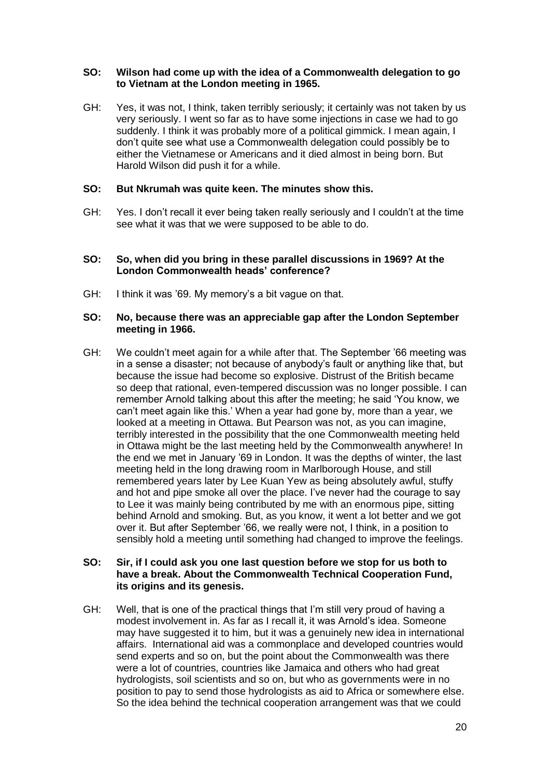### **SO: Wilson had come up with the idea of a Commonwealth delegation to go to Vietnam at the London meeting in 1965.**

GH: Yes, it was not, I think, taken terribly seriously; it certainly was not taken by us very seriously. I went so far as to have some injections in case we had to go suddenly. I think it was probably more of a political gimmick. I mean again, I don't quite see what use a Commonwealth delegation could possibly be to either the Vietnamese or Americans and it died almost in being born. But Harold Wilson did push it for a while.

### **SO: But Nkrumah was quite keen. The minutes show this.**

GH: Yes. I don't recall it ever being taken really seriously and I couldn't at the time see what it was that we were supposed to be able to do.

#### **SO: So, when did you bring in these parallel discussions in 1969? At the London Commonwealth heads' conference?**

GH: I think it was '69. My memory's a bit vague on that.

#### **SO: No, because there was an appreciable gap after the London September meeting in 1966.**

GH: We couldn't meet again for a while after that. The September '66 meeting was in a sense a disaster; not because of anybody's fault or anything like that, but because the issue had become so explosive. Distrust of the British became so deep that rational, even-tempered discussion was no longer possible. I can remember Arnold talking about this after the meeting; he said 'You know, we can't meet again like this.' When a year had gone by, more than a year, we looked at a meeting in Ottawa. But Pearson was not, as you can imagine, terribly interested in the possibility that the one Commonwealth meeting held in Ottawa might be the last meeting held by the Commonwealth anywhere! In the end we met in January '69 in London. It was the depths of winter, the last meeting held in the long drawing room in Marlborough House, and still remembered years later by Lee Kuan Yew as being absolutely awful, stuffy and hot and pipe smoke all over the place. I've never had the courage to say to Lee it was mainly being contributed by me with an enormous pipe, sitting behind Arnold and smoking. But, as you know, it went a lot better and we got over it. But after September '66, we really were not, I think, in a position to sensibly hold a meeting until something had changed to improve the feelings.

### **SO: Sir, if I could ask you one last question before we stop for us both to have a break. About the Commonwealth Technical Cooperation Fund, its origins and its genesis.**

GH: Well, that is one of the practical things that I'm still very proud of having a modest involvement in. As far as I recall it, it was Arnold's idea. Someone may have suggested it to him, but it was a genuinely new idea in international affairs. International aid was a commonplace and developed countries would send experts and so on, but the point about the Commonwealth was there were a lot of countries, countries like Jamaica and others who had great hydrologists, soil scientists and so on, but who as governments were in no position to pay to send those hydrologists as aid to Africa or somewhere else. So the idea behind the technical cooperation arrangement was that we could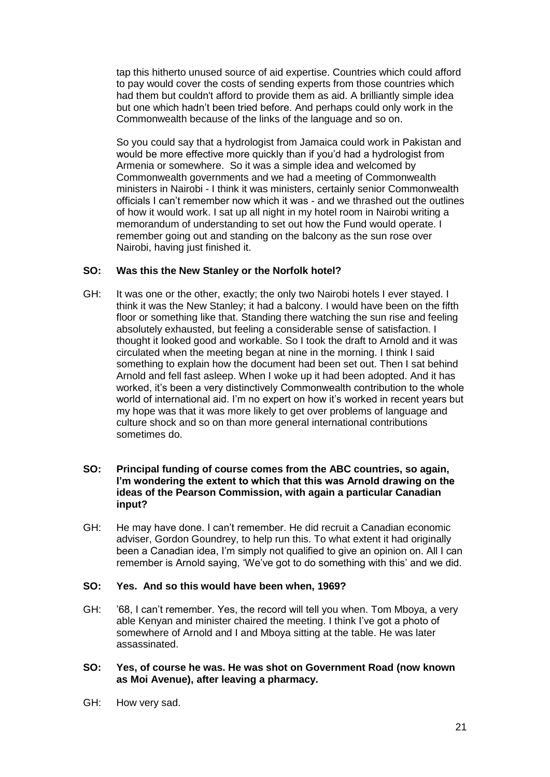tap this hitherto unused source of aid expertise. Countries which could afford to pay would cover the costs of sending experts from those countries which had them but couldn't afford to provide them as aid. A brilliantly simple idea but one which hadn't been tried before. And perhaps could only work in the Commonwealth because of the links of the language and so on.

So you could say that a hydrologist from Jamaica could work in Pakistan and would be more effective more quickly than if you'd had a hydrologist from Armenia or somewhere. So it was a simple idea and welcomed by Commonwealth governments and we had a meeting of Commonwealth ministers in Nairobi - I think it was ministers, certainly senior Commonwealth officials I can't remember now which it was - and we thrashed out the outlines of how it would work. I sat up all night in my hotel room in Nairobi writing a memorandum of understanding to set out how the Fund would operate. I remember going out and standing on the balcony as the sun rose over Nairobi, having just finished it.

# **SO: Was this the New Stanley or the Norfolk hotel?**

- GH: It was one or the other, exactly; the only two Nairobi hotels I ever stayed. I think it was the New Stanley; it had a balcony. I would have been on the fifth floor or something like that. Standing there watching the sun rise and feeling absolutely exhausted, but feeling a considerable sense of satisfaction. I thought it looked good and workable. So I took the draft to Arnold and it was circulated when the meeting began at nine in the morning. I think I said something to explain how the document had been set out. Then I sat behind Arnold and fell fast asleep. When I woke up it had been adopted. And it has worked, it's been a very distinctively Commonwealth contribution to the whole world of international aid. I'm no expert on how it's worked in recent years but my hope was that it was more likely to get over problems of language and culture shock and so on than more general international contributions sometimes do.
- **SO: Principal funding of course comes from the ABC countries, so again, I'm wondering the extent to which that this was Arnold drawing on the ideas of the Pearson Commission, with again a particular Canadian input?**
- GH: He may have done. I can't remember. He did recruit a Canadian economic adviser, Gordon Goundrey, to help run this. To what extent it had originally been a Canadian idea, I'm simply not qualified to give an opinion on. All I can remember is Arnold saying, 'We've got to do something with this' and we did.

# **SO: Yes. And so this would have been when, 1969?**

- GH: '68, I can't remember. Yes, the record will tell you when. Tom Mboya, a very able Kenyan and minister chaired the meeting. I think I've got a photo of somewhere of Arnold and I and Mboya sitting at the table. He was later assassinated.
- **SO: Yes, of course he was. He was shot on Government Road (now known as Moi Avenue), after leaving a pharmacy.**
- GH: How very sad.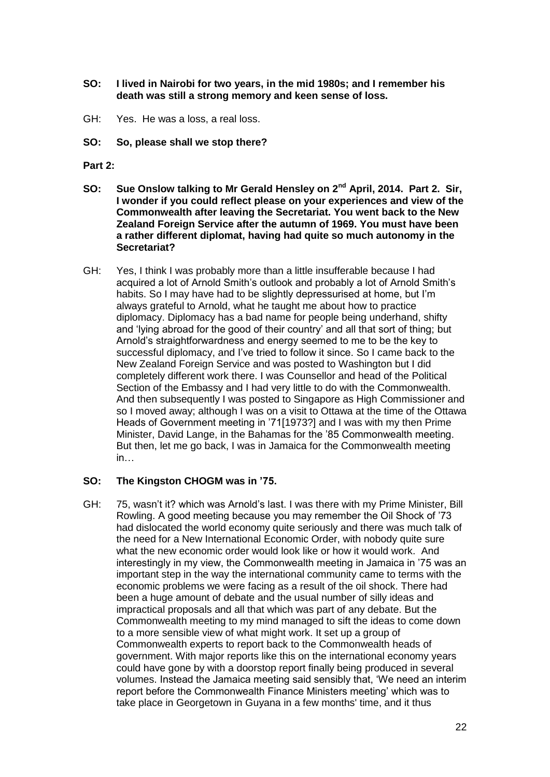- **SO: I lived in Nairobi for two years, in the mid 1980s; and I remember his death was still a strong memory and keen sense of loss.**
- GH: Yes. He was a loss, a real loss.
- **SO: So, please shall we stop there?**
- **Part 2:**
- **SO: Sue Onslow talking to Mr Gerald Hensley on 2nd April, 2014. Part 2. Sir, I wonder if you could reflect please on your experiences and view of the Commonwealth after leaving the Secretariat. You went back to the New Zealand Foreign Service after the autumn of 1969. You must have been a rather different diplomat, having had quite so much autonomy in the Secretariat?**
- GH: Yes, I think I was probably more than a little insufferable because I had acquired a lot of Arnold Smith's outlook and probably a lot of Arnold Smith's habits. So I may have had to be slightly depressurised at home, but I'm always grateful to Arnold, what he taught me about how to practice diplomacy. Diplomacy has a bad name for people being underhand, shifty and 'lying abroad for the good of their country' and all that sort of thing; but Arnold's straightforwardness and energy seemed to me to be the key to successful diplomacy, and I've tried to follow it since. So I came back to the New Zealand Foreign Service and was posted to Washington but I did completely different work there. I was Counsellor and head of the Political Section of the Embassy and I had very little to do with the Commonwealth. And then subsequently I was posted to Singapore as High Commissioner and so I moved away; although I was on a visit to Ottawa at the time of the Ottawa Heads of Government meeting in '71[1973?] and I was with my then Prime Minister, David Lange, in the Bahamas for the '85 Commonwealth meeting. But then, let me go back, I was in Jamaica for the Commonwealth meeting in…

#### **SO: The Kingston CHOGM was in '75.**

GH: 75, wasn't it? which was Arnold's last. I was there with my Prime Minister, Bill Rowling. A good meeting because you may remember the Oil Shock of '73 had dislocated the world economy quite seriously and there was much talk of the need for a New International Economic Order, with nobody quite sure what the new economic order would look like or how it would work. And interestingly in my view, the Commonwealth meeting in Jamaica in '75 was an important step in the way the international community came to terms with the economic problems we were facing as a result of the oil shock. There had been a huge amount of debate and the usual number of silly ideas and impractical proposals and all that which was part of any debate. But the Commonwealth meeting to my mind managed to sift the ideas to come down to a more sensible view of what might work. It set up a group of Commonwealth experts to report back to the Commonwealth heads of government. With major reports like this on the international economy years could have gone by with a doorstop report finally being produced in several volumes. Instead the Jamaica meeting said sensibly that, 'We need an interim report before the Commonwealth Finance Ministers meeting' which was to take place in Georgetown in Guyana in a few months' time, and it thus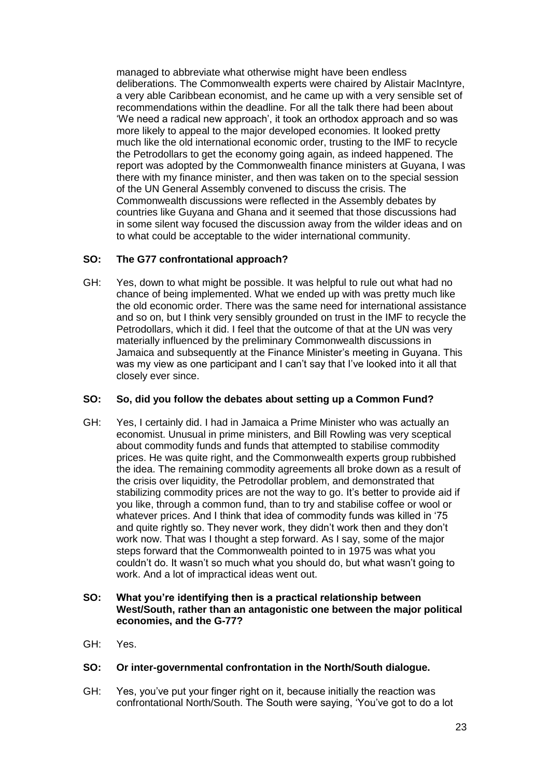managed to abbreviate what otherwise might have been endless deliberations. The Commonwealth experts were chaired by Alistair MacIntyre, a very able Caribbean economist, and he came up with a very sensible set of recommendations within the deadline. For all the talk there had been about 'We need a radical new approach', it took an orthodox approach and so was more likely to appeal to the major developed economies. It looked pretty much like the old international economic order, trusting to the IMF to recycle the Petrodollars to get the economy going again, as indeed happened. The report was adopted by the Commonwealth finance ministers at Guyana, I was there with my finance minister, and then was taken on to the special session of the UN General Assembly convened to discuss the crisis. The Commonwealth discussions were reflected in the Assembly debates by countries like Guyana and Ghana and it seemed that those discussions had in some silent way focused the discussion away from the wilder ideas and on to what could be acceptable to the wider international community.

# **SO: The G77 confrontational approach?**

GH: Yes, down to what might be possible. It was helpful to rule out what had no chance of being implemented. What we ended up with was pretty much like the old economic order. There was the same need for international assistance and so on, but I think very sensibly grounded on trust in the IMF to recycle the Petrodollars, which it did. I feel that the outcome of that at the UN was very materially influenced by the preliminary Commonwealth discussions in Jamaica and subsequently at the Finance Minister's meeting in Guyana. This was my view as one participant and I can't say that I've looked into it all that closely ever since.

# **SO: So, did you follow the debates about setting up a Common Fund?**

GH: Yes, I certainly did. I had in Jamaica a Prime Minister who was actually an economist. Unusual in prime ministers, and Bill Rowling was very sceptical about commodity funds and funds that attempted to stabilise commodity prices. He was quite right, and the Commonwealth experts group rubbished the idea. The remaining commodity agreements all broke down as a result of the crisis over liquidity, the Petrodollar problem, and demonstrated that stabilizing commodity prices are not the way to go. It's better to provide aid if you like, through a common fund, than to try and stabilise coffee or wool or whatever prices. And I think that idea of commodity funds was killed in '75 and quite rightly so. They never work, they didn't work then and they don't work now. That was I thought a step forward. As I say, some of the major steps forward that the Commonwealth pointed to in 1975 was what you couldn't do. It wasn't so much what you should do, but what wasn't going to work. And a lot of impractical ideas went out.

# **SO: What you're identifying then is a practical relationship between West/South, rather than an antagonistic one between the major political economies, and the G-77?**

GH: Yes.

# **SO: Or inter-governmental confrontation in the North/South dialogue.**

GH: Yes, you've put your finger right on it, because initially the reaction was confrontational North/South. The South were saying, 'You've got to do a lot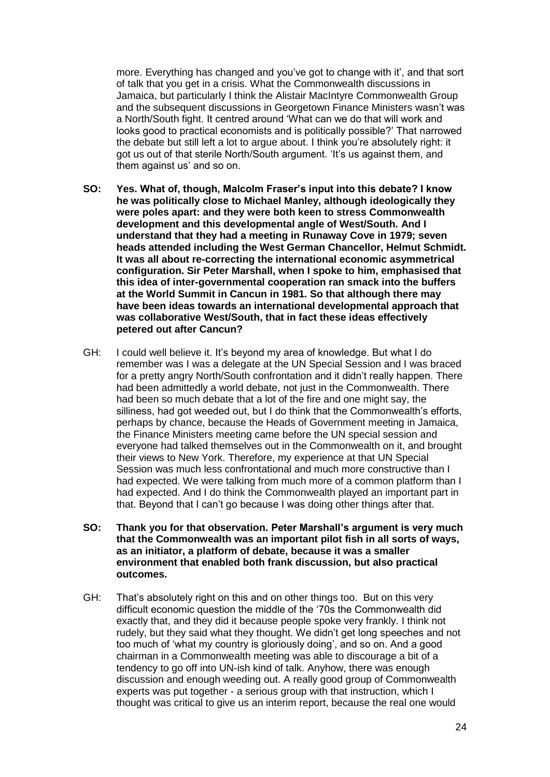more. Everything has changed and you've got to change with it', and that sort of talk that you get in a crisis. What the Commonwealth discussions in Jamaica, but particularly I think the Alistair MacIntyre Commonwealth Group and the subsequent discussions in Georgetown Finance Ministers wasn't was a North/South fight. It centred around 'What can we do that will work and looks good to practical economists and is politically possible?' That narrowed the debate but still left a lot to argue about. I think you're absolutely right: it got us out of that sterile North/South argument. 'It's us against them, and them against us' and so on.

- **SO: Yes. What of, though, Malcolm Fraser's input into this debate? I know he was politically close to Michael Manley, although ideologically they were poles apart: and they were both keen to stress Commonwealth development and this developmental angle of West/South. And I understand that they had a meeting in Runaway Cove in 1979; seven heads attended including the West German Chancellor, Helmut Schmidt. It was all about re-correcting the international economic asymmetrical configuration. Sir Peter Marshall, when I spoke to him, emphasised that this idea of inter-governmental cooperation ran smack into the buffers at the World Summit in Cancun in 1981. So that although there may have been ideas towards an international developmental approach that was collaborative West/South, that in fact these ideas effectively petered out after Cancun?**
- GH: I could well believe it. It's beyond my area of knowledge. But what I do remember was I was a delegate at the UN Special Session and I was braced for a pretty angry North/South confrontation and it didn't really happen. There had been admittedly a world debate, not just in the Commonwealth. There had been so much debate that a lot of the fire and one might say, the silliness, had got weeded out, but I do think that the Commonwealth's efforts, perhaps by chance, because the Heads of Government meeting in Jamaica, the Finance Ministers meeting came before the UN special session and everyone had talked themselves out in the Commonwealth on it, and brought their views to New York. Therefore, my experience at that UN Special Session was much less confrontational and much more constructive than I had expected. We were talking from much more of a common platform than I had expected. And I do think the Commonwealth played an important part in that. Beyond that I can't go because I was doing other things after that.
- **SO: Thank you for that observation. Peter Marshall's argument is very much that the Commonwealth was an important pilot fish in all sorts of ways, as an initiator, a platform of debate, because it was a smaller environment that enabled both frank discussion, but also practical outcomes.**
- GH: That's absolutely right on this and on other things too. But on this very difficult economic question the middle of the '70s the Commonwealth did exactly that, and they did it because people spoke very frankly. I think not rudely, but they said what they thought. We didn't get long speeches and not too much of 'what my country is gloriously doing', and so on. And a good chairman in a Commonwealth meeting was able to discourage a bit of a tendency to go off into UN-ish kind of talk. Anyhow, there was enough discussion and enough weeding out. A really good group of Commonwealth experts was put together - a serious group with that instruction, which I thought was critical to give us an interim report, because the real one would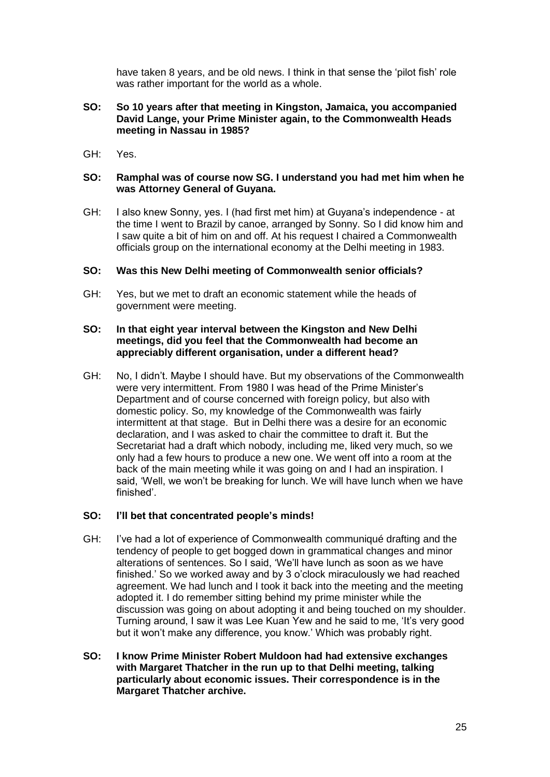have taken 8 years, and be old news. I think in that sense the 'pilot fish' role was rather important for the world as a whole.

### **SO: So 10 years after that meeting in Kingston, Jamaica, you accompanied David Lange, your Prime Minister again, to the Commonwealth Heads meeting in Nassau in 1985?**

GH: Yes.

### **SO: Ramphal was of course now SG. I understand you had met him when he was Attorney General of Guyana.**

GH: I also knew Sonny, yes. I (had first met him) at Guyana's independence - at the time I went to Brazil by canoe, arranged by Sonny. So I did know him and I saw quite a bit of him on and off. At his request I chaired a Commonwealth officials group on the international economy at the Delhi meeting in 1983.

# **SO: Was this New Delhi meeting of Commonwealth senior officials?**

GH: Yes, but we met to draft an economic statement while the heads of government were meeting.

#### **SO: In that eight year interval between the Kingston and New Delhi meetings, did you feel that the Commonwealth had become an appreciably different organisation, under a different head?**

GH: No, I didn't. Maybe I should have. But my observations of the Commonwealth were very intermittent. From 1980 I was head of the Prime Minister's Department and of course concerned with foreign policy, but also with domestic policy. So, my knowledge of the Commonwealth was fairly intermittent at that stage. But in Delhi there was a desire for an economic declaration, and I was asked to chair the committee to draft it. But the Secretariat had a draft which nobody, including me, liked very much, so we only had a few hours to produce a new one. We went off into a room at the back of the main meeting while it was going on and I had an inspiration. I said, 'Well, we won't be breaking for lunch. We will have lunch when we have finished'.

# **SO: I'll bet that concentrated people's minds!**

- GH: I've had a lot of experience of Commonwealth communiqué drafting and the tendency of people to get bogged down in grammatical changes and minor alterations of sentences. So I said, 'We'll have lunch as soon as we have finished.' So we worked away and by 3 o'clock miraculously we had reached agreement. We had lunch and I took it back into the meeting and the meeting adopted it. I do remember sitting behind my prime minister while the discussion was going on about adopting it and being touched on my shoulder. Turning around, I saw it was Lee Kuan Yew and he said to me, 'It's very good but it won't make any difference, you know.' Which was probably right.
- **SO: I know Prime Minister Robert Muldoon had had extensive exchanges with Margaret Thatcher in the run up to that Delhi meeting, talking particularly about economic issues. Their correspondence is in the Margaret Thatcher archive.**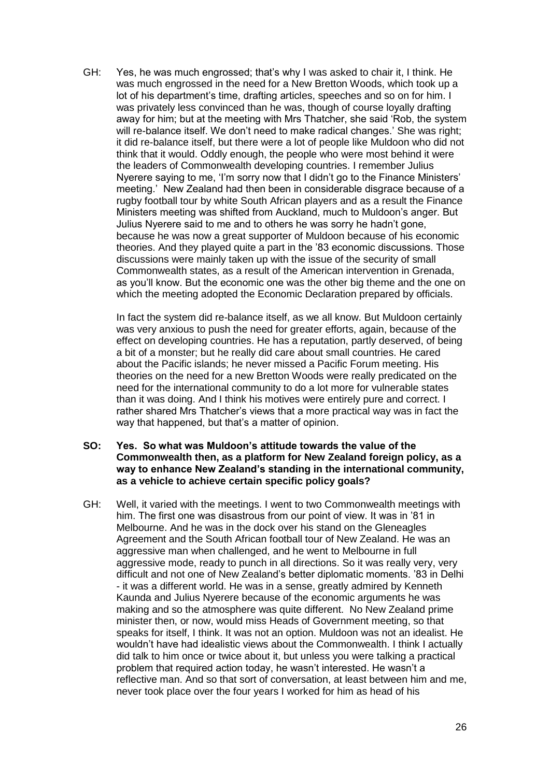GH: Yes, he was much engrossed; that's why I was asked to chair it, I think. He was much engrossed in the need for a New Bretton Woods, which took up a lot of his department's time, drafting articles, speeches and so on for him. I was privately less convinced than he was, though of course loyally drafting away for him; but at the meeting with Mrs Thatcher, she said 'Rob, the system will re-balance itself. We don't need to make radical changes.' She was right; it did re-balance itself, but there were a lot of people like Muldoon who did not think that it would. Oddly enough, the people who were most behind it were the leaders of Commonwealth developing countries. I remember Julius Nyerere saying to me, 'I'm sorry now that I didn't go to the Finance Ministers' meeting.' New Zealand had then been in considerable disgrace because of a rugby football tour by white South African players and as a result the Finance Ministers meeting was shifted from Auckland, much to Muldoon's anger. But Julius Nyerere said to me and to others he was sorry he hadn't gone, because he was now a great supporter of Muldoon because of his economic theories. And they played quite a part in the '83 economic discussions. Those discussions were mainly taken up with the issue of the security of small Commonwealth states, as a result of the American intervention in Grenada, as you'll know. But the economic one was the other big theme and the one on which the meeting adopted the Economic Declaration prepared by officials.

In fact the system did re-balance itself, as we all know. But Muldoon certainly was very anxious to push the need for greater efforts, again, because of the effect on developing countries. He has a reputation, partly deserved, of being a bit of a monster; but he really did care about small countries. He cared about the Pacific islands; he never missed a Pacific Forum meeting. His theories on the need for a new Bretton Woods were really predicated on the need for the international community to do a lot more for vulnerable states than it was doing. And I think his motives were entirely pure and correct. I rather shared Mrs Thatcher's views that a more practical way was in fact the way that happened, but that's a matter of opinion.

- **SO: Yes. So what was Muldoon's attitude towards the value of the Commonwealth then, as a platform for New Zealand foreign policy, as a way to enhance New Zealand's standing in the international community, as a vehicle to achieve certain specific policy goals?**
- GH: Well, it varied with the meetings. I went to two Commonwealth meetings with him. The first one was disastrous from our point of view. It was in '81 in Melbourne. And he was in the dock over his stand on the Gleneagles Agreement and the South African football tour of New Zealand. He was an aggressive man when challenged, and he went to Melbourne in full aggressive mode, ready to punch in all directions. So it was really very, very difficult and not one of New Zealand's better diplomatic moments. '83 in Delhi - it was a different world. He was in a sense, greatly admired by Kenneth Kaunda and Julius Nyerere because of the economic arguments he was making and so the atmosphere was quite different. No New Zealand prime minister then, or now, would miss Heads of Government meeting, so that speaks for itself, I think. It was not an option. Muldoon was not an idealist. He wouldn't have had idealistic views about the Commonwealth. I think I actually did talk to him once or twice about it, but unless you were talking a practical problem that required action today, he wasn't interested. He wasn't a reflective man. And so that sort of conversation, at least between him and me, never took place over the four years I worked for him as head of his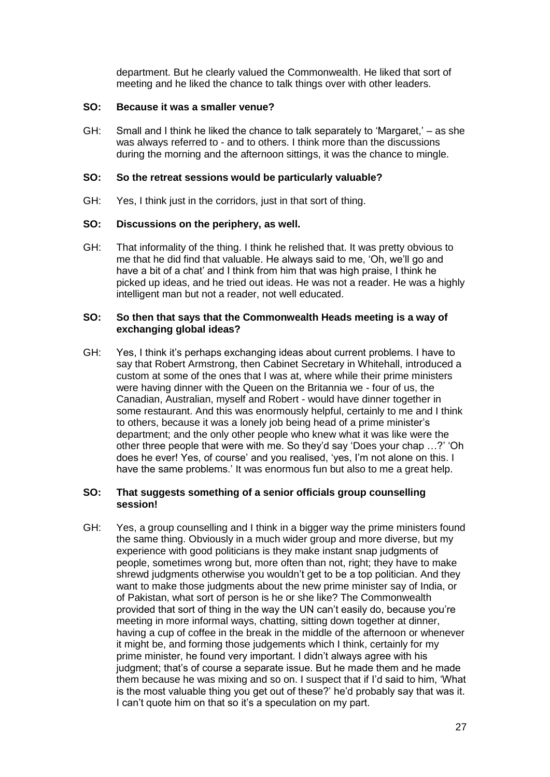department. But he clearly valued the Commonwealth. He liked that sort of meeting and he liked the chance to talk things over with other leaders.

### **SO: Because it was a smaller venue?**

GH: Small and I think he liked the chance to talk separately to 'Margaret,' – as she was always referred to - and to others. I think more than the discussions during the morning and the afternoon sittings, it was the chance to mingle.

### **SO: So the retreat sessions would be particularly valuable?**

GH: Yes, I think just in the corridors, just in that sort of thing.

#### **SO: Discussions on the periphery, as well.**

GH: That informality of the thing. I think he relished that. It was pretty obvious to me that he did find that valuable. He always said to me, 'Oh, we'll go and have a bit of a chat' and I think from him that was high praise, I think he picked up ideas, and he tried out ideas. He was not a reader. He was a highly intelligent man but not a reader, not well educated.

#### **SO: So then that says that the Commonwealth Heads meeting is a way of exchanging global ideas?**

GH: Yes, I think it's perhaps exchanging ideas about current problems. I have to say that Robert Armstrong, then Cabinet Secretary in Whitehall, introduced a custom at some of the ones that I was at, where while their prime ministers were having dinner with the Queen on the Britannia we - four of us, the Canadian, Australian, myself and Robert - would have dinner together in some restaurant. And this was enormously helpful, certainly to me and I think to others, because it was a lonely job being head of a prime minister's department; and the only other people who knew what it was like were the other three people that were with me. So they'd say 'Does your chap …?' 'Oh does he ever! Yes, of course' and you realised, 'yes, I'm not alone on this. I have the same problems.' It was enormous fun but also to me a great help.

#### **SO: That suggests something of a senior officials group counselling session!**

GH: Yes, a group counselling and I think in a bigger way the prime ministers found the same thing. Obviously in a much wider group and more diverse, but my experience with good politicians is they make instant snap judgments of people, sometimes wrong but, more often than not, right; they have to make shrewd judgments otherwise you wouldn't get to be a top politician. And they want to make those judgments about the new prime minister say of India, or of Pakistan, what sort of person is he or she like? The Commonwealth provided that sort of thing in the way the UN can't easily do, because you're meeting in more informal ways, chatting, sitting down together at dinner, having a cup of coffee in the break in the middle of the afternoon or whenever it might be, and forming those judgements which I think, certainly for my prime minister, he found very important. I didn't always agree with his judgment; that's of course a separate issue. But he made them and he made them because he was mixing and so on. I suspect that if I'd said to him, 'What is the most valuable thing you get out of these?' he'd probably say that was it. I can't quote him on that so it's a speculation on my part.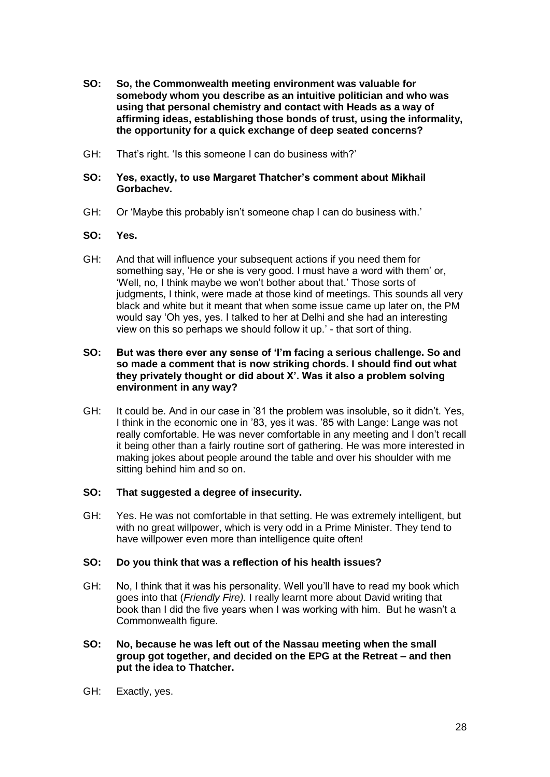- **SO: So, the Commonwealth meeting environment was valuable for somebody whom you describe as an intuitive politician and who was using that personal chemistry and contact with Heads as a way of affirming ideas, establishing those bonds of trust, using the informality, the opportunity for a quick exchange of deep seated concerns?**
- GH: That's right. 'Is this someone I can do business with?'

### **SO: Yes, exactly, to use Margaret Thatcher's comment about Mikhail Gorbachev.**

GH: Or 'Maybe this probably isn't someone chap I can do business with.'

#### **SO: Yes.**

GH: And that will influence your subsequent actions if you need them for something say, 'He or she is very good. I must have a word with them' or, 'Well, no, I think maybe we won't bother about that.' Those sorts of judgments, I think, were made at those kind of meetings. This sounds all very black and white but it meant that when some issue came up later on, the PM would say 'Oh yes, yes. I talked to her at Delhi and she had an interesting view on this so perhaps we should follow it up.' - that sort of thing.

#### **SO: But was there ever any sense of 'I'm facing a serious challenge. So and so made a comment that is now striking chords. I should find out what they privately thought or did about X'. Was it also a problem solving environment in any way?**

GH: It could be. And in our case in '81 the problem was insoluble, so it didn't. Yes, I think in the economic one in '83, yes it was. '85 with Lange: Lange was not really comfortable. He was never comfortable in any meeting and I don't recall it being other than a fairly routine sort of gathering. He was more interested in making jokes about people around the table and over his shoulder with me sitting behind him and so on.

# **SO: That suggested a degree of insecurity.**

GH: Yes. He was not comfortable in that setting. He was extremely intelligent, but with no great willpower, which is very odd in a Prime Minister. They tend to have willpower even more than intelligence quite often!

# **SO: Do you think that was a reflection of his health issues?**

- GH: No, I think that it was his personality. Well you'll have to read my book which goes into that (*Friendly Fire).* I really learnt more about David writing that book than I did the five years when I was working with him. But he wasn't a Commonwealth figure.
- **SO: No, because he was left out of the Nassau meeting when the small group got together, and decided on the EPG at the Retreat – and then put the idea to Thatcher.**
- GH: Exactly, yes.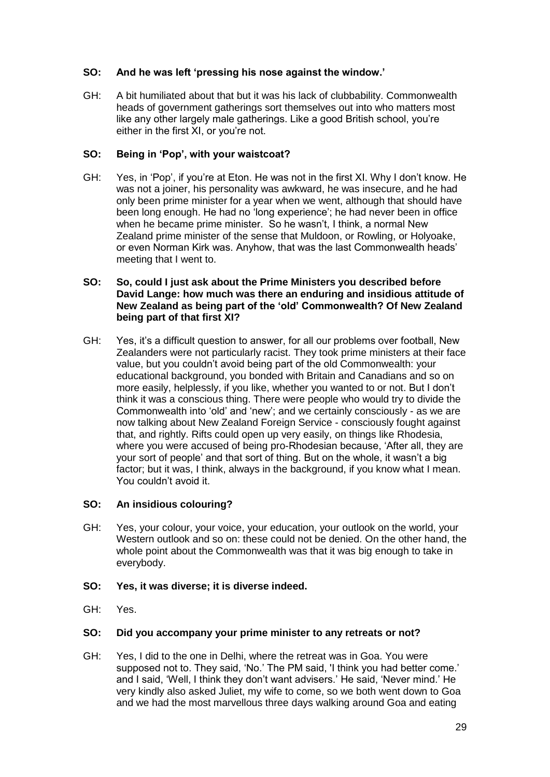# **SO: And he was left 'pressing his nose against the window.'**

GH: A bit humiliated about that but it was his lack of clubbability. Commonwealth heads of government gatherings sort themselves out into who matters most like any other largely male gatherings. Like a good British school, you're either in the first XI, or you're not.

# **SO: Being in 'Pop', with your waistcoat?**

GH: Yes, in 'Pop', if you're at Eton. He was not in the first XI. Why I don't know. He was not a joiner, his personality was awkward, he was insecure, and he had only been prime minister for a year when we went, although that should have been long enough. He had no 'long experience'; he had never been in office when he became prime minister. So he wasn't, I think, a normal New Zealand prime minister of the sense that Muldoon, or Rowling, or Holyoake, or even Norman Kirk was. Anyhow, that was the last Commonwealth heads' meeting that I went to.

### **SO: So, could I just ask about the Prime Ministers you described before David Lange: how much was there an enduring and insidious attitude of New Zealand as being part of the 'old' Commonwealth? Of New Zealand being part of that first XI?**

GH: Yes, it's a difficult question to answer, for all our problems over football, New Zealanders were not particularly racist. They took prime ministers at their face value, but you couldn't avoid being part of the old Commonwealth: your educational background, you bonded with Britain and Canadians and so on more easily, helplessly, if you like, whether you wanted to or not. But I don't think it was a conscious thing. There were people who would try to divide the Commonwealth into 'old' and 'new'; and we certainly consciously - as we are now talking about New Zealand Foreign Service - consciously fought against that, and rightly. Rifts could open up very easily, on things like Rhodesia, where you were accused of being pro-Rhodesian because, 'After all, they are your sort of people' and that sort of thing. But on the whole, it wasn't a big factor; but it was, I think, always in the background, if you know what I mean. You couldn't avoid it.

# **SO: An insidious colouring?**

- GH: Yes, your colour, your voice, your education, your outlook on the world, your Western outlook and so on: these could not be denied. On the other hand, the whole point about the Commonwealth was that it was big enough to take in everybody.
- **SO: Yes, it was diverse; it is diverse indeed.**
- GH: Yes.

# **SO: Did you accompany your prime minister to any retreats or not?**

GH: Yes, I did to the one in Delhi, where the retreat was in Goa. You were supposed not to. They said, 'No.' The PM said, 'I think you had better come.' and I said, 'Well, I think they don't want advisers.' He said, 'Never mind.' He very kindly also asked Juliet, my wife to come, so we both went down to Goa and we had the most marvellous three days walking around Goa and eating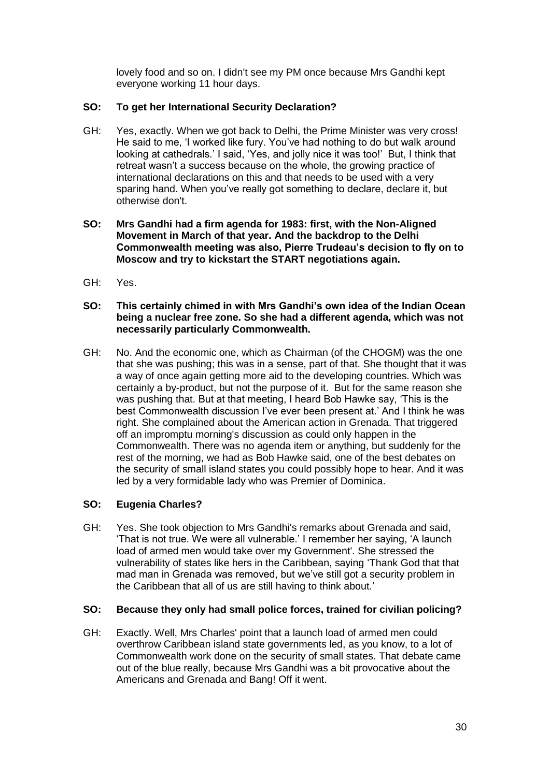lovely food and so on. I didn't see my PM once because Mrs Gandhi kept everyone working 11 hour days.

# **SO: To get her International Security Declaration?**

- GH: Yes, exactly. When we got back to Delhi, the Prime Minister was very cross! He said to me, 'I worked like fury. You've had nothing to do but walk around looking at cathedrals.' I said, 'Yes, and jolly nice it was too!' But, I think that retreat wasn't a success because on the whole, the growing practice of international declarations on this and that needs to be used with a very sparing hand. When you've really got something to declare, declare it, but otherwise don't.
- **SO: Mrs Gandhi had a firm agenda for 1983: first, with the Non-Aligned Movement in March of that year. And the backdrop to the Delhi Commonwealth meeting was also, Pierre Trudeau's decision to fly on to Moscow and try to kickstart the START negotiations again.**
- GH: Yes.
- **SO: This certainly chimed in with Mrs Gandhi's own idea of the Indian Ocean being a nuclear free zone. So she had a different agenda, which was not necessarily particularly Commonwealth.**
- GH: No. And the economic one, which as Chairman (of the CHOGM) was the one that she was pushing; this was in a sense, part of that. She thought that it was a way of once again getting more aid to the developing countries. Which was certainly a by-product, but not the purpose of it. But for the same reason she was pushing that. But at that meeting, I heard Bob Hawke say, 'This is the best Commonwealth discussion I've ever been present at.' And I think he was right. She complained about the American action in Grenada. That triggered off an impromptu morning's discussion as could only happen in the Commonwealth. There was no agenda item or anything, but suddenly for the rest of the morning, we had as Bob Hawke said, one of the best debates on the security of small island states you could possibly hope to hear. And it was led by a very formidable lady who was Premier of Dominica.

# **SO: Eugenia Charles?**

GH: Yes. She took objection to Mrs Gandhi's remarks about Grenada and said, 'That is not true. We were all vulnerable.' I remember her saying, 'A launch load of armed men would take over my Government'. She stressed the vulnerability of states like hers in the Caribbean, saying 'Thank God that that mad man in Grenada was removed, but we've still got a security problem in the Caribbean that all of us are still having to think about.'

# **SO: Because they only had small police forces, trained for civilian policing?**

GH: Exactly. Well, Mrs Charles' point that a launch load of armed men could overthrow Caribbean island state governments led, as you know, to a lot of Commonwealth work done on the security of small states. That debate came out of the blue really, because Mrs Gandhi was a bit provocative about the Americans and Grenada and Bang! Off it went.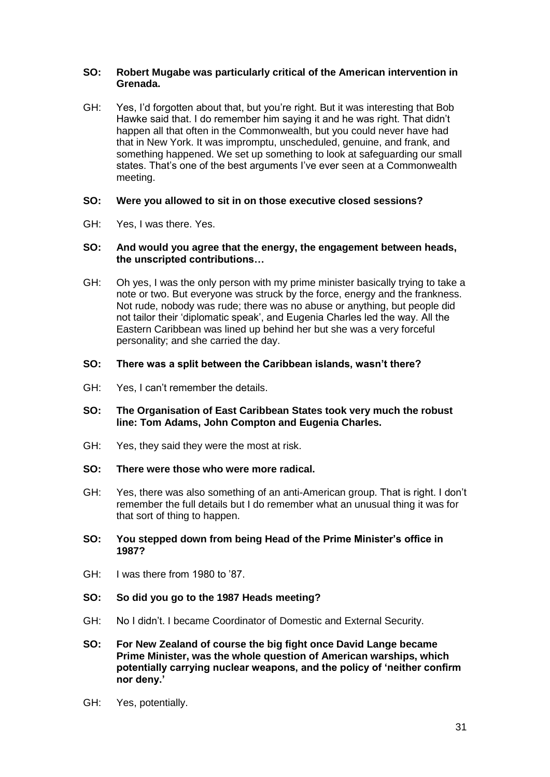### **SO: Robert Mugabe was particularly critical of the American intervention in Grenada.**

GH: Yes, I'd forgotten about that, but you're right. But it was interesting that Bob Hawke said that. I do remember him saying it and he was right. That didn't happen all that often in the Commonwealth, but you could never have had that in New York. It was impromptu, unscheduled, genuine, and frank, and something happened. We set up something to look at safeguarding our small states. That's one of the best arguments I've ever seen at a Commonwealth meeting.

# **SO: Were you allowed to sit in on those executive closed sessions?**

GH: Yes, I was there. Yes.

#### **SO: And would you agree that the energy, the engagement between heads, the unscripted contributions…**

GH: Oh yes, I was the only person with my prime minister basically trying to take a note or two. But everyone was struck by the force, energy and the frankness. Not rude, nobody was rude; there was no abuse or anything, but people did not tailor their 'diplomatic speak', and Eugenia Charles led the way. All the Eastern Caribbean was lined up behind her but she was a very forceful personality; and she carried the day.

#### **SO: There was a split between the Caribbean islands, wasn't there?**

GH: Yes, I can't remember the details.

### **SO: The Organisation of East Caribbean States took very much the robust line: Tom Adams, John Compton and Eugenia Charles.**

- GH: Yes, they said they were the most at risk.
- **SO: There were those who were more radical.**
- GH: Yes, there was also something of an anti-American group. That is right. I don't remember the full details but I do remember what an unusual thing it was for that sort of thing to happen.

#### **SO: You stepped down from being Head of the Prime Minister's office in 1987?**

- GH: I was there from 1980 to '87.
- **SO: So did you go to the 1987 Heads meeting?**
- GH: No I didn't. I became Coordinator of Domestic and External Security.
- **SO: For New Zealand of course the big fight once David Lange became Prime Minister, was the whole question of American warships, which potentially carrying nuclear weapons, and the policy of 'neither confirm nor deny.'**
- GH: Yes, potentially.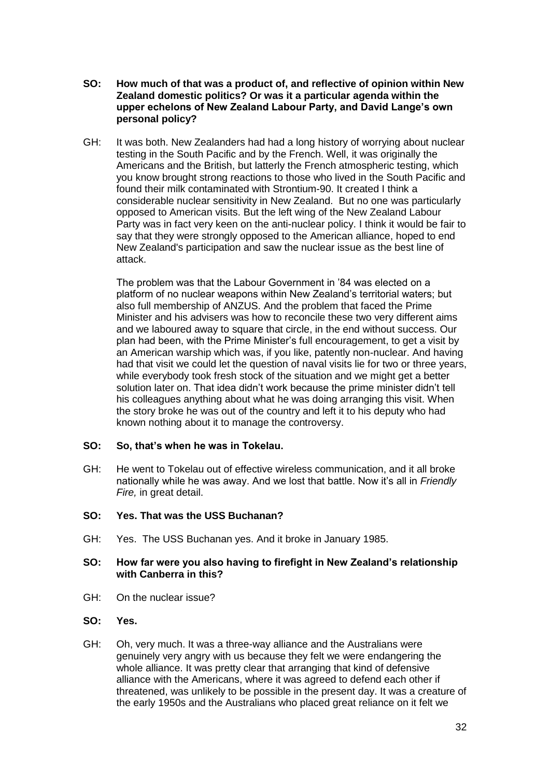- **SO: How much of that was a product of, and reflective of opinion within New Zealand domestic politics? Or was it a particular agenda within the upper echelons of New Zealand Labour Party, and David Lange's own personal policy?**
- GH: It was both. New Zealanders had had a long history of worrying about nuclear testing in the South Pacific and by the French. Well, it was originally the Americans and the British, but latterly the French atmospheric testing, which you know brought strong reactions to those who lived in the South Pacific and found their milk contaminated with Strontium-90. It created I think a considerable nuclear sensitivity in New Zealand. But no one was particularly opposed to American visits. But the left wing of the New Zealand Labour Party was in fact very keen on the anti-nuclear policy. I think it would be fair to say that they were strongly opposed to the American alliance, hoped to end New Zealand's participation and saw the nuclear issue as the best line of attack.

The problem was that the Labour Government in '84 was elected on a platform of no nuclear weapons within New Zealand's territorial waters; but also full membership of ANZUS. And the problem that faced the Prime Minister and his advisers was how to reconcile these two very different aims and we laboured away to square that circle, in the end without success. Our plan had been, with the Prime Minister's full encouragement, to get a visit by an American warship which was, if you like, patently non-nuclear. And having had that visit we could let the question of naval visits lie for two or three years, while everybody took fresh stock of the situation and we might get a better solution later on. That idea didn't work because the prime minister didn't tell his colleagues anything about what he was doing arranging this visit. When the story broke he was out of the country and left it to his deputy who had known nothing about it to manage the controversy.

#### **SO: So, that's when he was in Tokelau.**

GH: He went to Tokelau out of effective wireless communication, and it all broke nationally while he was away. And we lost that battle. Now it's all in *Friendly Fire,* in great detail.

# **SO: Yes. That was the USS Buchanan?**

GH: Yes. The USS Buchanan yes. And it broke in January 1985.

#### **SO: How far were you also having to firefight in New Zealand's relationship with Canberra in this?**

GH: On the nuclear issue?

#### **SO: Yes.**

GH: Oh, very much. It was a three-way alliance and the Australians were genuinely very angry with us because they felt we were endangering the whole alliance. It was pretty clear that arranging that kind of defensive alliance with the Americans, where it was agreed to defend each other if threatened, was unlikely to be possible in the present day. It was a creature of the early 1950s and the Australians who placed great reliance on it felt we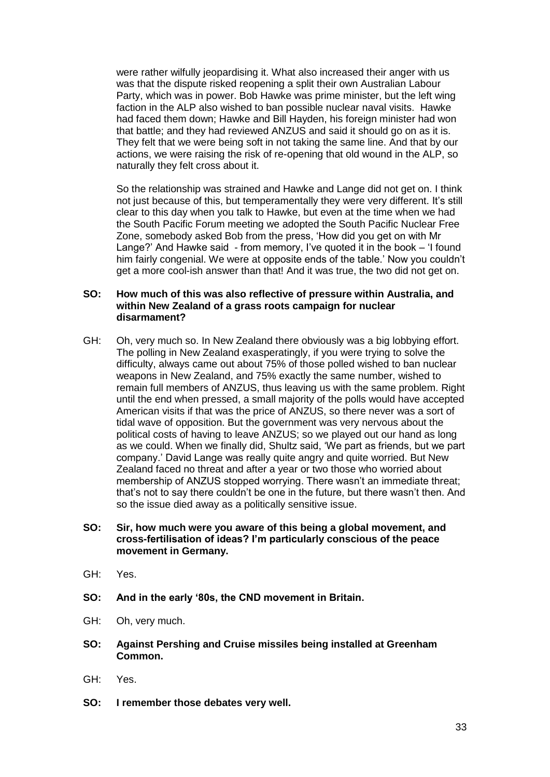were rather wilfully jeopardising it. What also increased their anger with us was that the dispute risked reopening a split their own Australian Labour Party, which was in power. Bob Hawke was prime minister, but the left wing faction in the ALP also wished to ban possible nuclear naval visits. Hawke had faced them down; Hawke and Bill Hayden, his foreign minister had won that battle; and they had reviewed ANZUS and said it should go on as it is. They felt that we were being soft in not taking the same line. And that by our actions, we were raising the risk of re-opening that old wound in the ALP, so naturally they felt cross about it.

So the relationship was strained and Hawke and Lange did not get on. I think not just because of this, but temperamentally they were very different. It's still clear to this day when you talk to Hawke, but even at the time when we had the South Pacific Forum meeting we adopted the South Pacific Nuclear Free Zone, somebody asked Bob from the press, 'How did you get on with Mr Lange?' And Hawke said - from memory, I've quoted it in the book – 'I found him fairly congenial. We were at opposite ends of the table.' Now you couldn't get a more cool-ish answer than that! And it was true, the two did not get on.

#### **SO: How much of this was also reflective of pressure within Australia, and within New Zealand of a grass roots campaign for nuclear disarmament?**

- GH: Oh, very much so. In New Zealand there obviously was a big lobbying effort. The polling in New Zealand exasperatingly, if you were trying to solve the difficulty, always came out about 75% of those polled wished to ban nuclear weapons in New Zealand, and 75% exactly the same number, wished to remain full members of ANZUS, thus leaving us with the same problem. Right until the end when pressed, a small majority of the polls would have accepted American visits if that was the price of ANZUS, so there never was a sort of tidal wave of opposition. But the government was very nervous about the political costs of having to leave ANZUS; so we played out our hand as long as we could. When we finally did, Shultz said, 'We part as friends, but we part company.' David Lange was really quite angry and quite worried. But New Zealand faced no threat and after a year or two those who worried about membership of ANZUS stopped worrying. There wasn't an immediate threat; that's not to say there couldn't be one in the future, but there wasn't then. And so the issue died away as a politically sensitive issue.
- **SO: Sir, how much were you aware of this being a global movement, and cross-fertilisation of ideas? I'm particularly conscious of the peace movement in Germany.**
- GH: Yes.
- **SO: And in the early '80s, the CND movement in Britain.**
- GH: Oh, very much.
- **SO: Against Pershing and Cruise missiles being installed at Greenham Common.**
- GH: Yes.
- **SO: I remember those debates very well.**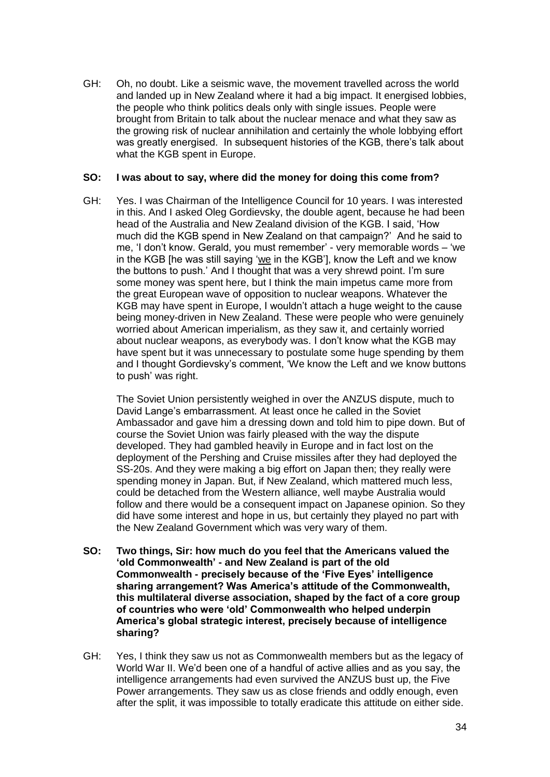GH: Oh, no doubt. Like a seismic wave, the movement travelled across the world and landed up in New Zealand where it had a big impact. It energised lobbies, the people who think politics deals only with single issues. People were brought from Britain to talk about the nuclear menace and what they saw as the growing risk of nuclear annihilation and certainly the whole lobbying effort was greatly energised. In subsequent histories of the KGB, there's talk about what the KGB spent in Europe.

### **SO: I was about to say, where did the money for doing this come from?**

GH: Yes. I was Chairman of the Intelligence Council for 10 years. I was interested in this. And I asked Oleg Gordievsky, the double agent, because he had been head of the Australia and New Zealand division of the KGB. I said, 'How much did the KGB spend in New Zealand on that campaign?' And he said to me, 'I don't know. Gerald, you must remember' - very memorable words – 'we in the KGB [he was still saying 'we in the KGB'], know the Left and we know the buttons to push.' And I thought that was a very shrewd point. I'm sure some money was spent here, but I think the main impetus came more from the great European wave of opposition to nuclear weapons. Whatever the KGB may have spent in Europe, I wouldn't attach a huge weight to the cause being money-driven in New Zealand. These were people who were genuinely worried about American imperialism, as they saw it, and certainly worried about nuclear weapons, as everybody was. I don't know what the KGB may have spent but it was unnecessary to postulate some huge spending by them and I thought Gordievsky's comment, 'We know the Left and we know buttons to push' was right.

The Soviet Union persistently weighed in over the ANZUS dispute, much to David Lange's embarrassment. At least once he called in the Soviet Ambassador and gave him a dressing down and told him to pipe down. But of course the Soviet Union was fairly pleased with the way the dispute developed. They had gambled heavily in Europe and in fact lost on the deployment of the Pershing and Cruise missiles after they had deployed the SS-20s. And they were making a big effort on Japan then; they really were spending money in Japan. But, if New Zealand, which mattered much less, could be detached from the Western alliance, well maybe Australia would follow and there would be a consequent impact on Japanese opinion. So they did have some interest and hope in us, but certainly they played no part with the New Zealand Government which was very wary of them.

- **SO: Two things, Sir: how much do you feel that the Americans valued the 'old Commonwealth' - and New Zealand is part of the old Commonwealth - precisely because of the 'Five Eyes' intelligence sharing arrangement? Was America's attitude of the Commonwealth, this multilateral diverse association, shaped by the fact of a core group of countries who were 'old' Commonwealth who helped underpin America's global strategic interest, precisely because of intelligence sharing?**
- GH: Yes, I think they saw us not as Commonwealth members but as the legacy of World War II. We'd been one of a handful of active allies and as you say, the intelligence arrangements had even survived the ANZUS bust up, the Five Power arrangements. They saw us as close friends and oddly enough, even after the split, it was impossible to totally eradicate this attitude on either side.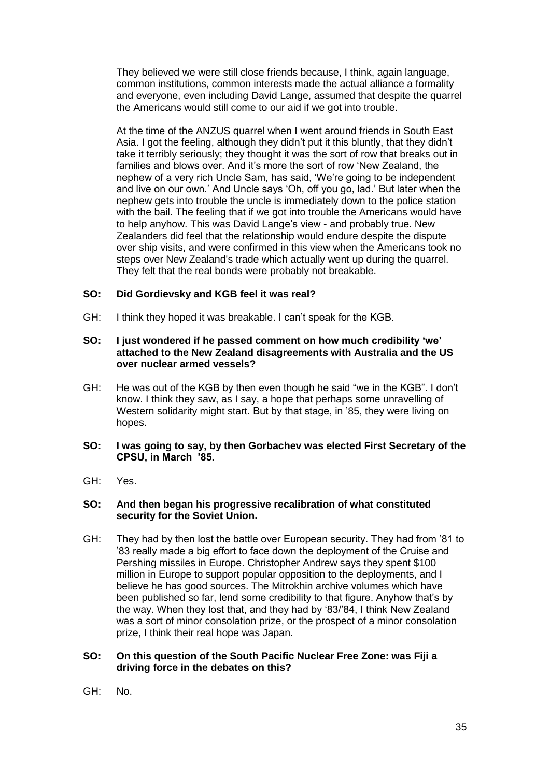They believed we were still close friends because, I think, again language, common institutions, common interests made the actual alliance a formality and everyone, even including David Lange, assumed that despite the quarrel the Americans would still come to our aid if we got into trouble.

At the time of the ANZUS quarrel when I went around friends in South East Asia. I got the feeling, although they didn't put it this bluntly, that they didn't take it terribly seriously; they thought it was the sort of row that breaks out in families and blows over. And it's more the sort of row 'New Zealand, the nephew of a very rich Uncle Sam, has said, 'We're going to be independent and live on our own.' And Uncle says 'Oh, off you go, lad.' But later when the nephew gets into trouble the uncle is immediately down to the police station with the bail. The feeling that if we got into trouble the Americans would have to help anyhow. This was David Lange's view - and probably true. New Zealanders did feel that the relationship would endure despite the dispute over ship visits, and were confirmed in this view when the Americans took no steps over New Zealand's trade which actually went up during the quarrel. They felt that the real bonds were probably not breakable.

# **SO: Did Gordievsky and KGB feel it was real?**

GH: I think they hoped it was breakable. I can't speak for the KGB.

#### **SO: I just wondered if he passed comment on how much credibility 'we' attached to the New Zealand disagreements with Australia and the US over nuclear armed vessels?**

GH: He was out of the KGB by then even though he said "we in the KGB". I don't know. I think they saw, as I say, a hope that perhaps some unravelling of Western solidarity might start. But by that stage, in '85, they were living on hopes.

#### **SO: I was going to say, by then Gorbachev was elected First Secretary of the CPSU, in March '85.**

GH: Yes.

#### **SO: And then began his progressive recalibration of what constituted security for the Soviet Union.**

GH: They had by then lost the battle over European security. They had from '81 to '83 really made a big effort to face down the deployment of the Cruise and Pershing missiles in Europe. Christopher Andrew says they spent \$100 million in Europe to support popular opposition to the deployments, and I believe he has good sources. The Mitrokhin archive volumes which have been published so far, lend some credibility to that figure. Anyhow that's by the way. When they lost that, and they had by '83/'84, I think New Zealand was a sort of minor consolation prize, or the prospect of a minor consolation prize, I think their real hope was Japan.

#### **SO: On this question of the South Pacific Nuclear Free Zone: was Fiji a driving force in the debates on this?**

GH: No.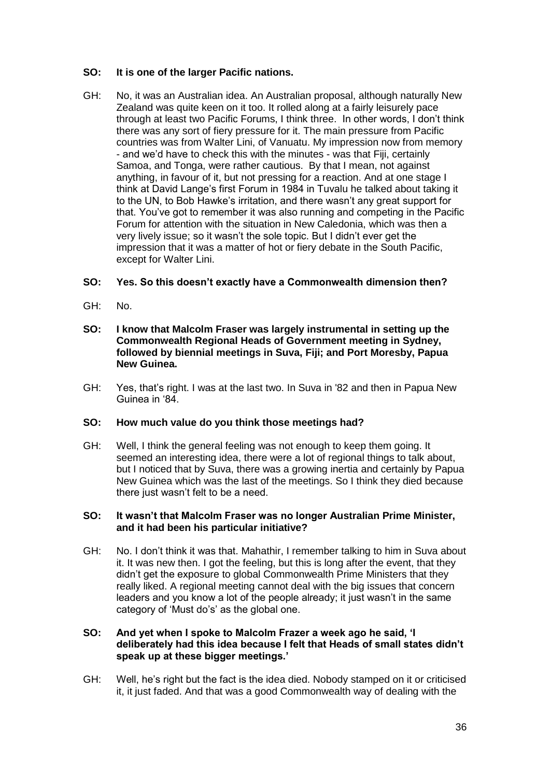# **SO: It is one of the larger Pacific nations.**

GH: No, it was an Australian idea. An Australian proposal, although naturally New Zealand was quite keen on it too. It rolled along at a fairly leisurely pace through at least two Pacific Forums, I think three. In other words, I don't think there was any sort of fiery pressure for it. The main pressure from Pacific countries was from Walter Lini, of Vanuatu. My impression now from memory - and we'd have to check this with the minutes - was that Fiji, certainly Samoa, and Tonga, were rather cautious. By that I mean, not against anything, in favour of it, but not pressing for a reaction. And at one stage I think at David Lange's first Forum in 1984 in Tuvalu he talked about taking it to the UN, to Bob Hawke's irritation, and there wasn't any great support for that. You've got to remember it was also running and competing in the Pacific Forum for attention with the situation in New Caledonia, which was then a very lively issue; so it wasn't the sole topic. But I didn't ever get the impression that it was a matter of hot or fiery debate in the South Pacific, except for Walter Lini.

# **SO: Yes. So this doesn't exactly have a Commonwealth dimension then?**

- GH: No.
- **SO: I know that Malcolm Fraser was largely instrumental in setting up the Commonwealth Regional Heads of Government meeting in Sydney, followed by biennial meetings in Suva, Fiji; and Port Moresby, Papua New Guinea.**
- GH: Yes, that's right. I was at the last two. In Suva in '82 and then in Papua New Guinea in '84.

# **SO: How much value do you think those meetings had?**

GH: Well, I think the general feeling was not enough to keep them going. It seemed an interesting idea, there were a lot of regional things to talk about, but I noticed that by Suva, there was a growing inertia and certainly by Papua New Guinea which was the last of the meetings. So I think they died because there just wasn't felt to be a need.

#### **SO: It wasn't that Malcolm Fraser was no longer Australian Prime Minister, and it had been his particular initiative?**

GH: No. I don't think it was that. Mahathir, I remember talking to him in Suva about it. It was new then. I got the feeling, but this is long after the event, that they didn't get the exposure to global Commonwealth Prime Ministers that they really liked. A regional meeting cannot deal with the big issues that concern leaders and you know a lot of the people already; it just wasn't in the same category of 'Must do's' as the global one.

### **SO: And yet when I spoke to Malcolm Frazer a week ago he said, 'I deliberately had this idea because I felt that Heads of small states didn't speak up at these bigger meetings.'**

GH: Well, he's right but the fact is the idea died. Nobody stamped on it or criticised it, it just faded. And that was a good Commonwealth way of dealing with the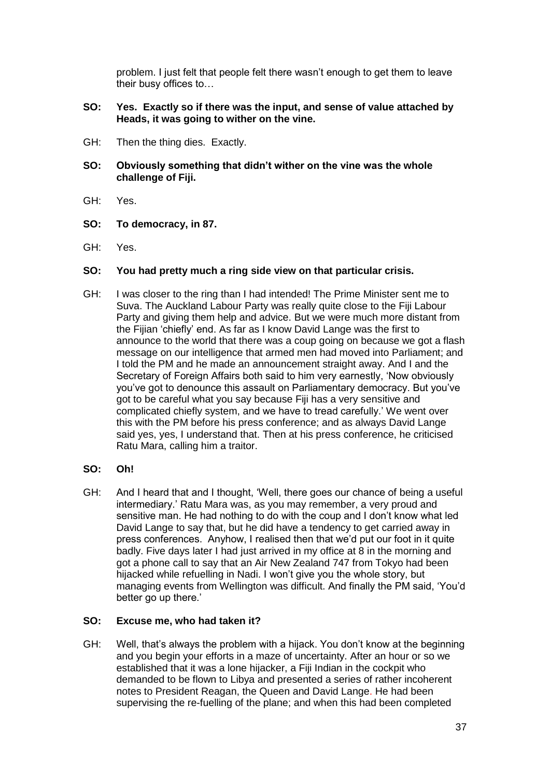problem. I just felt that people felt there wasn't enough to get them to leave their busy offices to…

### **SO: Yes. Exactly so if there was the input, and sense of value attached by Heads, it was going to wither on the vine.**

- GH: Then the thing dies. Exactly.
- **SO: Obviously something that didn't wither on the vine was the whole challenge of Fiji.**
- GH: Yes.
- **SO: To democracy, in 87.**
- GH: Yes.

# **SO: You had pretty much a ring side view on that particular crisis.**

- GH: I was closer to the ring than I had intended! The Prime Minister sent me to Suva. The Auckland Labour Party was really quite close to the Fiji Labour Party and giving them help and advice. But we were much more distant from the Fijian 'chiefly' end. As far as I know David Lange was the first to announce to the world that there was a coup going on because we got a flash message on our intelligence that armed men had moved into Parliament; and I told the PM and he made an announcement straight away. And I and the Secretary of Foreign Affairs both said to him very earnestly, 'Now obviously you've got to denounce this assault on Parliamentary democracy. But you've got to be careful what you say because Fiji has a very sensitive and complicated chiefly system, and we have to tread carefully.' We went over this with the PM before his press conference; and as always David Lange said yes, yes, I understand that. Then at his press conference, he criticised Ratu Mara, calling him a traitor.
- **SO: Oh!**
- GH: And I heard that and I thought, 'Well, there goes our chance of being a useful intermediary.' Ratu Mara was, as you may remember, a very proud and sensitive man. He had nothing to do with the coup and I don't know what led David Lange to say that, but he did have a tendency to get carried away in press conferences. Anyhow, I realised then that we'd put our foot in it quite badly. Five days later I had just arrived in my office at 8 in the morning and got a phone call to say that an Air New Zealand 747 from Tokyo had been hijacked while refuelling in Nadi. I won't give you the whole story, but managing events from Wellington was difficult. And finally the PM said, 'You'd better go up there.'

#### **SO: Excuse me, who had taken it?**

GH: Well, that's always the problem with a hijack. You don't know at the beginning and you begin your efforts in a maze of uncertainty. After an hour or so we established that it was a lone hijacker, a Fiji Indian in the cockpit who demanded to be flown to Libya and presented a series of rather incoherent notes to President Reagan, the Queen and David Lange. He had been supervising the re-fuelling of the plane; and when this had been completed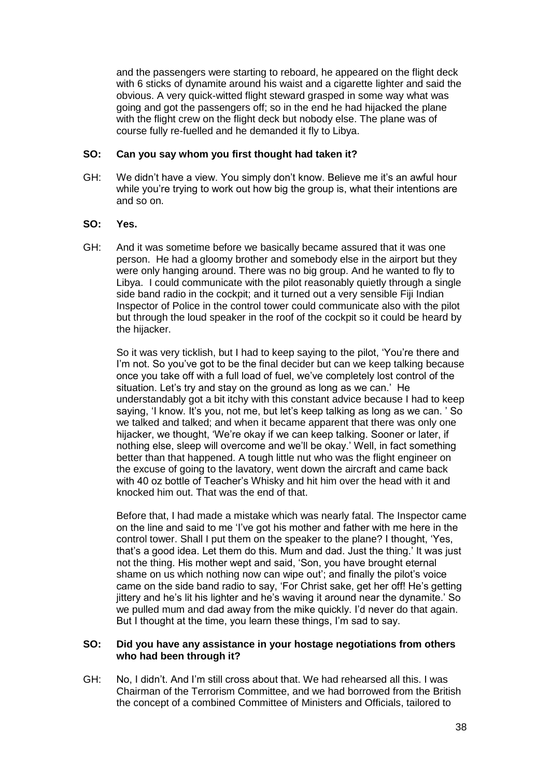and the passengers were starting to reboard, he appeared on the flight deck with 6 sticks of dynamite around his waist and a cigarette lighter and said the obvious. A very quick-witted flight steward grasped in some way what was going and got the passengers off; so in the end he had hijacked the plane with the flight crew on the flight deck but nobody else. The plane was of course fully re-fuelled and he demanded it fly to Libya.

# **SO: Can you say whom you first thought had taken it?**

GH: We didn't have a view. You simply don't know. Believe me it's an awful hour while you're trying to work out how big the group is, what their intentions are and so on.

# **SO: Yes.**

GH: And it was sometime before we basically became assured that it was one person. He had a gloomy brother and somebody else in the airport but they were only hanging around. There was no big group. And he wanted to fly to Libya. I could communicate with the pilot reasonably quietly through a single side band radio in the cockpit; and it turned out a very sensible Fiji Indian Inspector of Police in the control tower could communicate also with the pilot but through the loud speaker in the roof of the cockpit so it could be heard by the hijacker.

So it was very ticklish, but I had to keep saying to the pilot, 'You're there and I'm not. So you've got to be the final decider but can we keep talking because once you take off with a full load of fuel, we've completely lost control of the situation. Let's try and stay on the ground as long as we can.' He understandably got a bit itchy with this constant advice because I had to keep saying, 'I know. It's you, not me, but let's keep talking as long as we can. ' So we talked and talked; and when it became apparent that there was only one hijacker, we thought, 'We're okay if we can keep talking. Sooner or later, if nothing else, sleep will overcome and we'll be okay.' Well, in fact something better than that happened. A tough little nut who was the flight engineer on the excuse of going to the lavatory, went down the aircraft and came back with 40 oz bottle of Teacher's Whisky and hit him over the head with it and knocked him out. That was the end of that.

Before that, I had made a mistake which was nearly fatal. The Inspector came on the line and said to me 'I've got his mother and father with me here in the control tower. Shall I put them on the speaker to the plane? I thought, 'Yes, that's a good idea. Let them do this. Mum and dad. Just the thing.' It was just not the thing. His mother wept and said, 'Son, you have brought eternal shame on us which nothing now can wipe out'; and finally the pilot's voice came on the side band radio to say, 'For Christ sake, get her off! He's getting jittery and he's lit his lighter and he's waving it around near the dynamite.' So we pulled mum and dad away from the mike quickly. I'd never do that again. But I thought at the time, you learn these things, I'm sad to say.

# **SO: Did you have any assistance in your hostage negotiations from others who had been through it?**

GH: No, I didn't. And I'm still cross about that. We had rehearsed all this. I was Chairman of the Terrorism Committee, and we had borrowed from the British the concept of a combined Committee of Ministers and Officials, tailored to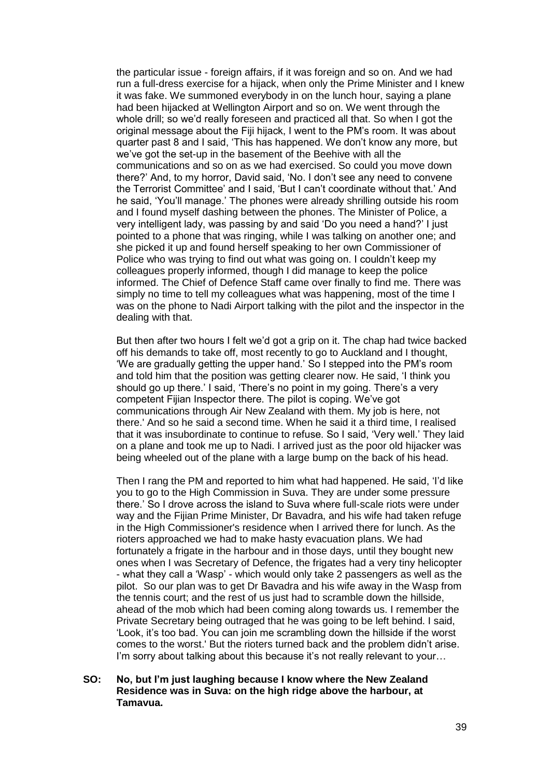the particular issue - foreign affairs, if it was foreign and so on. And we had run a full-dress exercise for a hijack, when only the Prime Minister and I knew it was fake. We summoned everybody in on the lunch hour, saying a plane had been hijacked at Wellington Airport and so on. We went through the whole drill; so we'd really foreseen and practiced all that. So when I got the original message about the Fiji hijack, I went to the PM's room. It was about quarter past 8 and I said, 'This has happened. We don't know any more, but we've got the set-up in the basement of the Beehive with all the communications and so on as we had exercised. So could you move down there?' And, to my horror, David said, 'No. I don't see any need to convene the Terrorist Committee' and I said, 'But I can't coordinate without that.' And he said, 'You'll manage.' The phones were already shrilling outside his room and I found myself dashing between the phones. The Minister of Police, a very intelligent lady, was passing by and said 'Do you need a hand?' I just pointed to a phone that was ringing, while I was talking on another one; and she picked it up and found herself speaking to her own Commissioner of Police who was trying to find out what was going on. I couldn't keep my colleagues properly informed, though I did manage to keep the police informed. The Chief of Defence Staff came over finally to find me. There was simply no time to tell my colleagues what was happening, most of the time I was on the phone to Nadi Airport talking with the pilot and the inspector in the dealing with that.

But then after two hours I felt we'd got a grip on it. The chap had twice backed off his demands to take off, most recently to go to Auckland and I thought, 'We are gradually getting the upper hand.' So I stepped into the PM's room and told him that the position was getting clearer now. He said, 'I think you should go up there.' I said, 'There's no point in my going. There's a very competent Fijian Inspector there. The pilot is coping. We've got communications through Air New Zealand with them. My job is here, not there.' And so he said a second time. When he said it a third time, I realised that it was insubordinate to continue to refuse. So I said, 'Very well.' They laid on a plane and took me up to Nadi. I arrived just as the poor old hijacker was being wheeled out of the plane with a large bump on the back of his head.

Then I rang the PM and reported to him what had happened. He said, 'I'd like you to go to the High Commission in Suva. They are under some pressure there.' So I drove across the island to Suva where full-scale riots were under way and the Fijian Prime Minister, Dr Bavadra, and his wife had taken refuge in the High Commissioner's residence when I arrived there for lunch. As the rioters approached we had to make hasty evacuation plans. We had fortunately a frigate in the harbour and in those days, until they bought new ones when I was Secretary of Defence, the frigates had a very tiny helicopter - what they call a 'Wasp' - which would only take 2 passengers as well as the pilot. So our plan was to get Dr Bavadra and his wife away in the Wasp from the tennis court; and the rest of us just had to scramble down the hillside, ahead of the mob which had been coming along towards us. I remember the Private Secretary being outraged that he was going to be left behind. I said, 'Look, it's too bad. You can join me scrambling down the hillside if the worst comes to the worst.' But the rioters turned back and the problem didn't arise. I'm sorry about talking about this because it's not really relevant to your...

**SO: No, but I'm just laughing because I know where the New Zealand Residence was in Suva: on the high ridge above the harbour, at Tamavua.**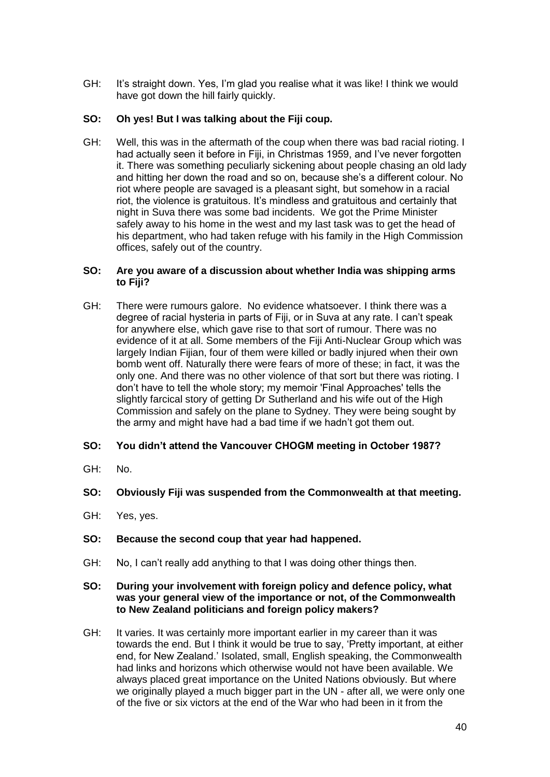GH: It's straight down. Yes, I'm glad you realise what it was like! I think we would have got down the hill fairly quickly.

# **SO: Oh yes! But I was talking about the Fiji coup.**

GH: Well, this was in the aftermath of the coup when there was bad racial rioting. I had actually seen it before in Fiji, in Christmas 1959, and I've never forgotten it. There was something peculiarly sickening about people chasing an old lady and hitting her down the road and so on, because she's a different colour. No riot where people are savaged is a pleasant sight, but somehow in a racial riot, the violence is gratuitous. It's mindless and gratuitous and certainly that night in Suva there was some bad incidents. We got the Prime Minister safely away to his home in the west and my last task was to get the head of his department, who had taken refuge with his family in the High Commission offices, safely out of the country.

### **SO: Are you aware of a discussion about whether India was shipping arms to Fiji?**

GH: There were rumours galore. No evidence whatsoever. I think there was a degree of racial hysteria in parts of Fiji, or in Suva at any rate. I can't speak for anywhere else, which gave rise to that sort of rumour. There was no evidence of it at all. Some members of the Fiji Anti-Nuclear Group which was largely Indian Fijian, four of them were killed or badly injured when their own bomb went off. Naturally there were fears of more of these; in fact, it was the only one. And there was no other violence of that sort but there was rioting. I don't have to tell the whole story; my memoir 'Final Approaches' tells the slightly farcical story of getting Dr Sutherland and his wife out of the High Commission and safely on the plane to Sydney. They were being sought by the army and might have had a bad time if we hadn't got them out.

# **SO: You didn't attend the Vancouver CHOGM meeting in October 1987?**

GH: No.

# **SO: Obviously Fiji was suspended from the Commonwealth at that meeting.**

GH: Yes, yes.

# **SO: Because the second coup that year had happened.**

GH: No, I can't really add anything to that I was doing other things then.

### **SO: During your involvement with foreign policy and defence policy, what was your general view of the importance or not, of the Commonwealth to New Zealand politicians and foreign policy makers?**

GH: It varies. It was certainly more important earlier in my career than it was towards the end. But I think it would be true to say, 'Pretty important, at either end, for New Zealand.' Isolated, small, English speaking, the Commonwealth had links and horizons which otherwise would not have been available. We always placed great importance on the United Nations obviously. But where we originally played a much bigger part in the UN - after all, we were only one of the five or six victors at the end of the War who had been in it from the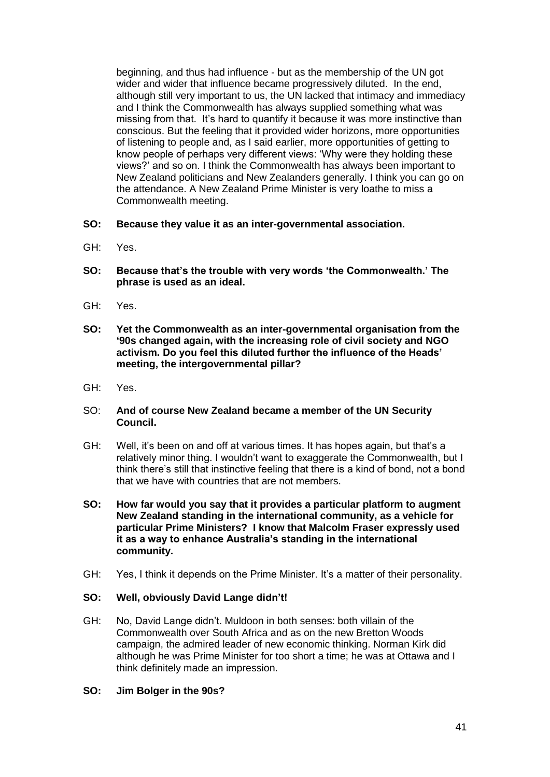beginning, and thus had influence - but as the membership of the UN got wider and wider that influence became progressively diluted. In the end, although still very important to us, the UN lacked that intimacy and immediacy and I think the Commonwealth has always supplied something what was missing from that. It's hard to quantify it because it was more instinctive than conscious. But the feeling that it provided wider horizons, more opportunities of listening to people and, as I said earlier, more opportunities of getting to know people of perhaps very different views: 'Why were they holding these views?' and so on. I think the Commonwealth has always been important to New Zealand politicians and New Zealanders generally. I think you can go on the attendance. A New Zealand Prime Minister is very loathe to miss a Commonwealth meeting.

- **SO: Because they value it as an inter-governmental association.**
- GH: Yes.
- **SO: Because that's the trouble with very words 'the Commonwealth.' The phrase is used as an ideal.**
- GH: Yes.
- **SO: Yet the Commonwealth as an inter-governmental organisation from the '90s changed again, with the increasing role of civil society and NGO activism. Do you feel this diluted further the influence of the Heads' meeting, the intergovernmental pillar?**
- GH: Yes.

### SO: **And of course New Zealand became a member of the UN Security Council.**

- GH: Well, it's been on and off at various times. It has hopes again, but that's a relatively minor thing. I wouldn't want to exaggerate the Commonwealth, but I think there's still that instinctive feeling that there is a kind of bond, not a bond that we have with countries that are not members.
- **SO: How far would you say that it provides a particular platform to augment New Zealand standing in the international community, as a vehicle for particular Prime Ministers? I know that Malcolm Fraser expressly used it as a way to enhance Australia's standing in the international community.**
- GH: Yes, I think it depends on the Prime Minister. It's a matter of their personality.

# **SO: Well, obviously David Lange didn't!**

- GH: No, David Lange didn't. Muldoon in both senses: both villain of the Commonwealth over South Africa and as on the new Bretton Woods campaign, the admired leader of new economic thinking. Norman Kirk did although he was Prime Minister for too short a time; he was at Ottawa and I think definitely made an impression.
- **SO: Jim Bolger in the 90s?**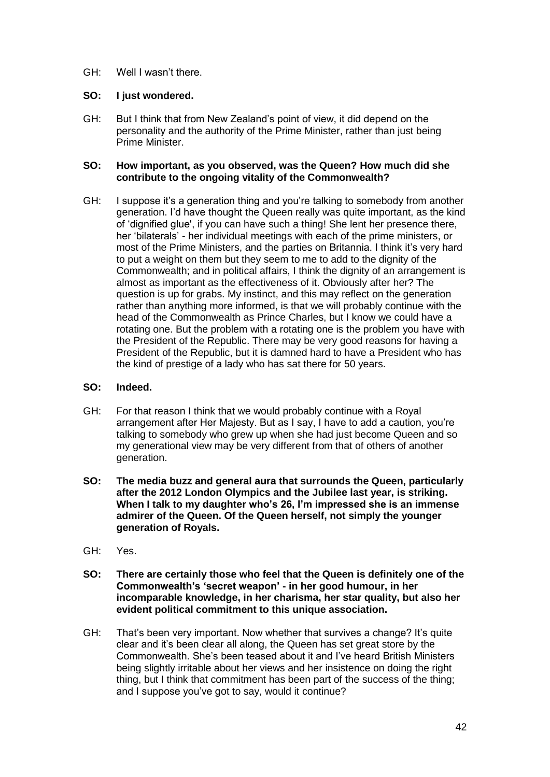GH: Well I wasn't there.

### **SO: I just wondered.**

GH: But I think that from New Zealand's point of view, it did depend on the personality and the authority of the Prime Minister, rather than just being Prime Minister.

### **SO: How important, as you observed, was the Queen? How much did she contribute to the ongoing vitality of the Commonwealth?**

GH: I suppose it's a generation thing and you're talking to somebody from another generation. I'd have thought the Queen really was quite important, as the kind of 'dignified glue', if you can have such a thing! She lent her presence there, her 'bilaterals' - her individual meetings with each of the prime ministers, or most of the Prime Ministers, and the parties on Britannia. I think it's very hard to put a weight on them but they seem to me to add to the dignity of the Commonwealth; and in political affairs, I think the dignity of an arrangement is almost as important as the effectiveness of it. Obviously after her? The question is up for grabs. My instinct, and this may reflect on the generation rather than anything more informed, is that we will probably continue with the head of the Commonwealth as Prince Charles, but I know we could have a rotating one. But the problem with a rotating one is the problem you have with the President of the Republic. There may be very good reasons for having a President of the Republic, but it is damned hard to have a President who has the kind of prestige of a lady who has sat there for 50 years.

### **SO: Indeed.**

- GH: For that reason I think that we would probably continue with a Royal arrangement after Her Majesty. But as I say, I have to add a caution, you're talking to somebody who grew up when she had just become Queen and so my generational view may be very different from that of others of another generation.
- **SO: The media buzz and general aura that surrounds the Queen, particularly after the 2012 London Olympics and the Jubilee last year, is striking. When I talk to my daughter who's 26, I'm impressed she is an immense admirer of the Queen. Of the Queen herself, not simply the younger generation of Royals.**
- GH: Yes.
- **SO: There are certainly those who feel that the Queen is definitely one of the Commonwealth's 'secret weapon' - in her good humour, in her incomparable knowledge, in her charisma, her star quality, but also her evident political commitment to this unique association.**
- GH: That's been very important. Now whether that survives a change? It's quite clear and it's been clear all along, the Queen has set great store by the Commonwealth. She's been teased about it and I've heard British Ministers being slightly irritable about her views and her insistence on doing the right thing, but I think that commitment has been part of the success of the thing; and I suppose you've got to say, would it continue?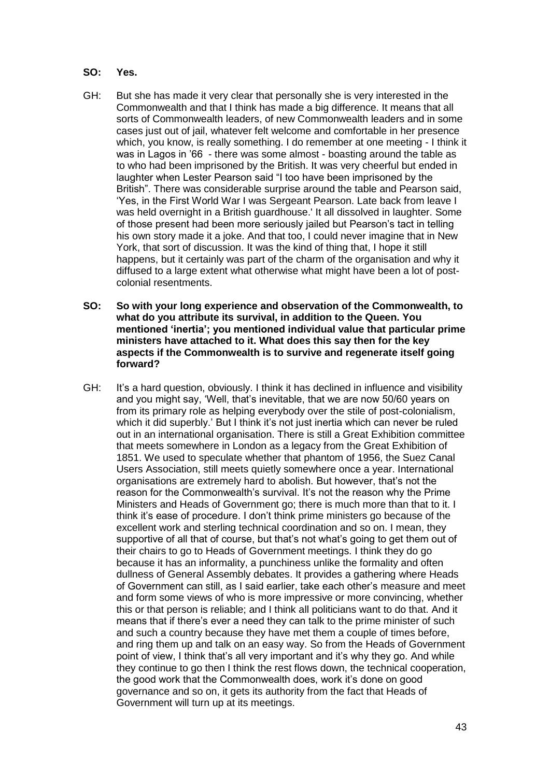### **SO: Yes.**

- GH: But she has made it very clear that personally she is very interested in the Commonwealth and that I think has made a big difference. It means that all sorts of Commonwealth leaders, of new Commonwealth leaders and in some cases just out of jail, whatever felt welcome and comfortable in her presence which, you know, is really something. I do remember at one meeting - I think it was in Lagos in '66 - there was some almost - boasting around the table as to who had been imprisoned by the British. It was very cheerful but ended in laughter when Lester Pearson said "I too have been imprisoned by the British". There was considerable surprise around the table and Pearson said, 'Yes, in the First World War I was Sergeant Pearson. Late back from leave I was held overnight in a British guardhouse.' It all dissolved in laughter. Some of those present had been more seriously jailed but Pearson's tact in telling his own story made it a joke. And that too, I could never imagine that in New York, that sort of discussion. It was the kind of thing that, I hope it still happens, but it certainly was part of the charm of the organisation and why it diffused to a large extent what otherwise what might have been a lot of postcolonial resentments.
- **SO: So with your long experience and observation of the Commonwealth, to what do you attribute its survival, in addition to the Queen. You mentioned 'inertia'; you mentioned individual value that particular prime ministers have attached to it. What does this say then for the key aspects if the Commonwealth is to survive and regenerate itself going forward?**
- GH: It's a hard question, obviously. I think it has declined in influence and visibility and you might say, 'Well, that's inevitable, that we are now 50/60 years on from its primary role as helping everybody over the stile of post-colonialism, which it did superbly.' But I think it's not just inertia which can never be ruled out in an international organisation. There is still a Great Exhibition committee that meets somewhere in London as a legacy from the Great Exhibition of 1851. We used to speculate whether that phantom of 1956, the Suez Canal Users Association, still meets quietly somewhere once a year. International organisations are extremely hard to abolish. But however, that's not the reason for the Commonwealth's survival. It's not the reason why the Prime Ministers and Heads of Government go; there is much more than that to it. I think it's ease of procedure. I don't think prime ministers go because of the excellent work and sterling technical coordination and so on. I mean, they supportive of all that of course, but that's not what's going to get them out of their chairs to go to Heads of Government meetings. I think they do go because it has an informality, a punchiness unlike the formality and often dullness of General Assembly debates. It provides a gathering where Heads of Government can still, as I said earlier, take each other's measure and meet and form some views of who is more impressive or more convincing, whether this or that person is reliable; and I think all politicians want to do that. And it means that if there's ever a need they can talk to the prime minister of such and such a country because they have met them a couple of times before, and ring them up and talk on an easy way. So from the Heads of Government point of view, I think that's all very important and it's why they go. And while they continue to go then I think the rest flows down, the technical cooperation, the good work that the Commonwealth does, work it's done on good governance and so on, it gets its authority from the fact that Heads of Government will turn up at its meetings.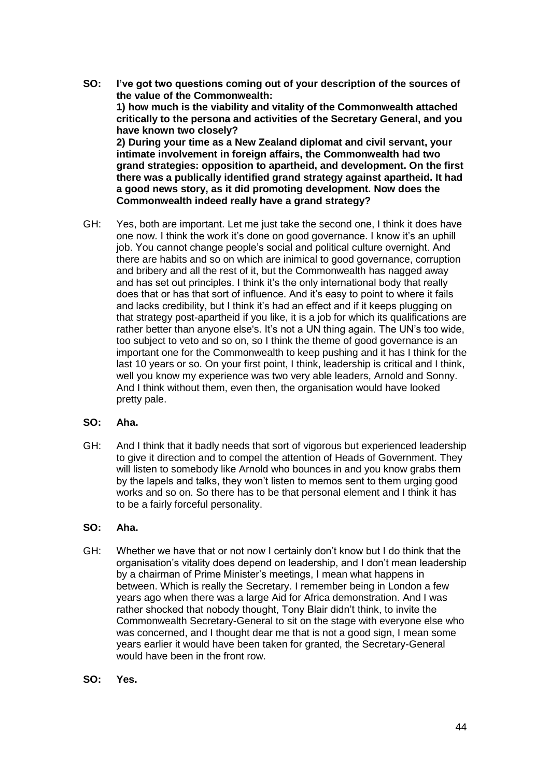- **SO: I've got two questions coming out of your description of the sources of the value of the Commonwealth: 1) how much is the viability and vitality of the Commonwealth attached critically to the persona and activities of the Secretary General, and you have known two closely? 2) During your time as a New Zealand diplomat and civil servant, your intimate involvement in foreign affairs, the Commonwealth had two grand strategies: opposition to apartheid, and development. On the first there was a publically identified grand strategy against apartheid. It had a good news story, as it did promoting development. Now does the Commonwealth indeed really have a grand strategy?**
- GH: Yes, both are important. Let me just take the second one, I think it does have one now. I think the work it's done on good governance. I know it's an uphill job. You cannot change people's social and political culture overnight. And there are habits and so on which are inimical to good governance, corruption and bribery and all the rest of it, but the Commonwealth has nagged away and has set out principles. I think it's the only international body that really does that or has that sort of influence. And it's easy to point to where it fails and lacks credibility, but I think it's had an effect and if it keeps plugging on that strategy post-apartheid if you like, it is a job for which its qualifications are rather better than anyone else's. It's not a UN thing again. The UN's too wide, too subject to veto and so on, so I think the theme of good governance is an important one for the Commonwealth to keep pushing and it has I think for the last 10 years or so. On your first point, I think, leadership is critical and I think, well you know my experience was two very able leaders, Arnold and Sonny. And I think without them, even then, the organisation would have looked pretty pale.

# **SO: Aha.**

GH: And I think that it badly needs that sort of vigorous but experienced leadership to give it direction and to compel the attention of Heads of Government. They will listen to somebody like Arnold who bounces in and you know grabs them by the lapels and talks, they won't listen to memos sent to them urging good works and so on. So there has to be that personal element and I think it has to be a fairly forceful personality.

# **SO: Aha.**

- GH: Whether we have that or not now I certainly don't know but I do think that the organisation's vitality does depend on leadership, and I don't mean leadership by a chairman of Prime Minister's meetings, I mean what happens in between. Which is really the Secretary. I remember being in London a few years ago when there was a large Aid for Africa demonstration. And I was rather shocked that nobody thought, Tony Blair didn't think, to invite the Commonwealth Secretary-General to sit on the stage with everyone else who was concerned, and I thought dear me that is not a good sign, I mean some years earlier it would have been taken for granted, the Secretary-General would have been in the front row.
- **SO: Yes.**